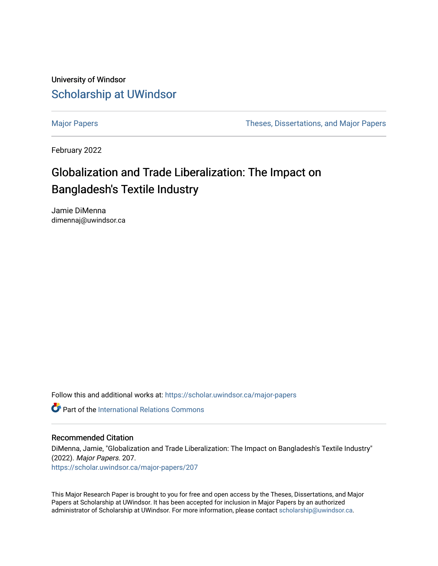University of Windsor [Scholarship at UWindsor](https://scholar.uwindsor.ca/) 

[Major Papers](https://scholar.uwindsor.ca/major-papers) Theses, Dissertations, and Major Papers

February 2022

# Globalization and Trade Liberalization: The Impact on Bangladesh's Textile Industry

Jamie DiMenna dimennaj@uwindsor.ca

Follow this and additional works at: [https://scholar.uwindsor.ca/major-papers](https://scholar.uwindsor.ca/major-papers?utm_source=scholar.uwindsor.ca%2Fmajor-papers%2F207&utm_medium=PDF&utm_campaign=PDFCoverPages) 

**Part of the International Relations Commons** 

#### Recommended Citation

DiMenna, Jamie, "Globalization and Trade Liberalization: The Impact on Bangladesh's Textile Industry" (2022). Major Papers. 207. [https://scholar.uwindsor.ca/major-papers/207](https://scholar.uwindsor.ca/major-papers/207?utm_source=scholar.uwindsor.ca%2Fmajor-papers%2F207&utm_medium=PDF&utm_campaign=PDFCoverPages) 

This Major Research Paper is brought to you for free and open access by the Theses, Dissertations, and Major Papers at Scholarship at UWindsor. It has been accepted for inclusion in Major Papers by an authorized administrator of Scholarship at UWindsor. For more information, please contact [scholarship@uwindsor.ca](mailto:scholarship@uwindsor.ca).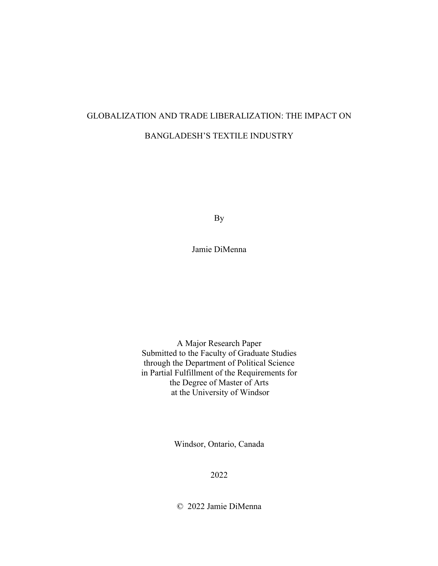## GLOBALIZATION AND TRADE LIBERALIZATION: THE IMPACT ON BANGLADESH'S TEXTILE INDUSTRY

By

Jamie DiMenna

A Major Research Paper Submitted to the Faculty of Graduate Studies through the Department of Political Science in Partial Fulfillment of the Requirements for the Degree of Master of Arts at the University of Windsor

Windsor, Ontario, Canada

2022

© 2022 Jamie DiMenna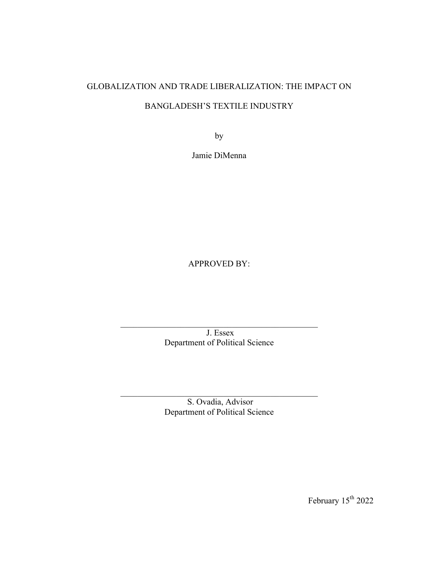# GLOBALIZATION AND TRADE LIBERALIZATION: THE IMPACT ON BANGLADESH'S TEXTILE INDUSTRY

by

Jamie DiMenna

APPROVED BY:

J. Essex Department of Political Science

 $\mathcal{L}_\text{max}$  and  $\mathcal{L}_\text{max}$  and  $\mathcal{L}_\text{max}$  and  $\mathcal{L}_\text{max}$  and  $\mathcal{L}_\text{max}$ 

S. Ovadia, Advisor Department of Political Science

 $\mathcal{L}_\text{max}$  and  $\mathcal{L}_\text{max}$  and  $\mathcal{L}_\text{max}$  and  $\mathcal{L}_\text{max}$  and  $\mathcal{L}_\text{max}$ 

February  $15^{\text{th}}$  2022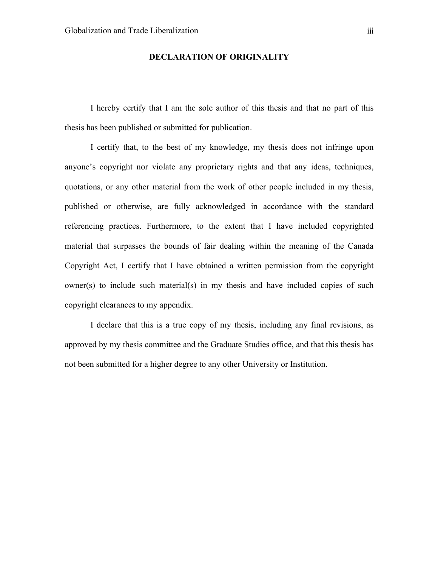#### **DECLARATION OF ORIGINALITY**

I hereby certify that I am the sole author of this thesis and that no part of this thesis has been published or submitted for publication.

I certify that, to the best of my knowledge, my thesis does not infringe upon anyone's copyright nor violate any proprietary rights and that any ideas, techniques, quotations, or any other material from the work of other people included in my thesis, published or otherwise, are fully acknowledged in accordance with the standard referencing practices. Furthermore, to the extent that I have included copyrighted material that surpasses the bounds of fair dealing within the meaning of the Canada Copyright Act, I certify that I have obtained a written permission from the copyright owner(s) to include such material(s) in my thesis and have included copies of such copyright clearances to my appendix.

I declare that this is a true copy of my thesis, including any final revisions, as approved by my thesis committee and the Graduate Studies office, and that this thesis has not been submitted for a higher degree to any other University or Institution.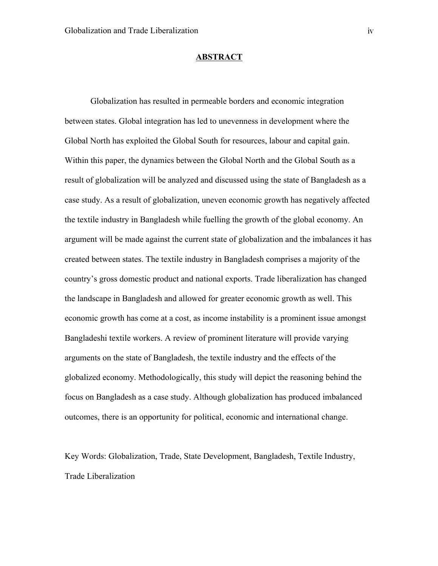#### **ABSTRACT**

Globalization has resulted in permeable borders and economic integration between states. Global integration has led to unevenness in development where the Global North has exploited the Global South for resources, labour and capital gain. Within this paper, the dynamics between the Global North and the Global South as a result of globalization will be analyzed and discussed using the state of Bangladesh as a case study. As a result of globalization, uneven economic growth has negatively affected the textile industry in Bangladesh while fuelling the growth of the global economy. An argument will be made against the current state of globalization and the imbalances it has created between states. The textile industry in Bangladesh comprises a majority of the country's gross domestic product and national exports. Trade liberalization has changed the landscape in Bangladesh and allowed for greater economic growth as well. This economic growth has come at a cost, as income instability is a prominent issue amongst Bangladeshi textile workers. A review of prominent literature will provide varying arguments on the state of Bangladesh, the textile industry and the effects of the globalized economy. Methodologically, this study will depict the reasoning behind the focus on Bangladesh as a case study. Although globalization has produced imbalanced outcomes, there is an opportunity for political, economic and international change.

Key Words: Globalization, Trade, State Development, Bangladesh, Textile Industry, Trade Liberalization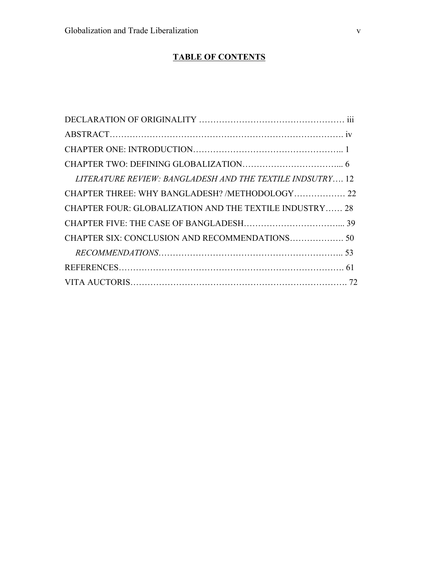### **TABLE OF CONTENTS**

| LITERATURE REVIEW: BANGLADESH AND THE TEXTILE INDSUTRY 12 |  |
|-----------------------------------------------------------|--|
| CHAPTER THREE: WHY BANGLADESH? /METHODOLOGY 22            |  |
| CHAPTER FOUR: GLOBALIZATION AND THE TEXTILE INDUSTRY 28   |  |
|                                                           |  |
|                                                           |  |
|                                                           |  |
|                                                           |  |
|                                                           |  |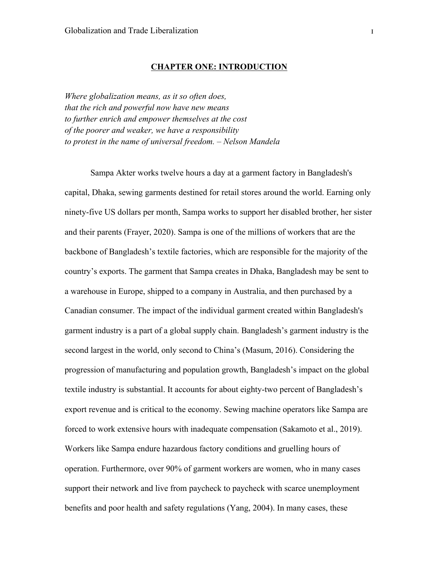#### **CHAPTER ONE: INTRODUCTION**

*Where globalization means, as it so often does, that the rich and powerful now have new means to further enrich and empower themselves at the cost of the poorer and weaker, we have a responsibility to protest in the name of universal freedom. – Nelson Mandela*

Sampa Akter works twelve hours a day at a garment factory in Bangladesh's capital, Dhaka, sewing garments destined for retail stores around the world. Earning only ninety-five US dollars per month, Sampa works to support her disabled brother, her sister and their parents (Frayer, 2020). Sampa is one of the millions of workers that are the backbone of Bangladesh's textile factories, which are responsible for the majority of the country's exports. The garment that Sampa creates in Dhaka, Bangladesh may be sent to a warehouse in Europe, shipped to a company in Australia, and then purchased by a Canadian consumer. The impact of the individual garment created within Bangladesh's garment industry is a part of a global supply chain. Bangladesh's garment industry is the second largest in the world, only second to China's (Masum, 2016). Considering the progression of manufacturing and population growth, Bangladesh's impact on the global textile industry is substantial. It accounts for about eighty-two percent of Bangladesh's export revenue and is critical to the economy. Sewing machine operators like Sampa are forced to work extensive hours with inadequate compensation (Sakamoto et al., 2019). Workers like Sampa endure hazardous factory conditions and gruelling hours of operation. Furthermore, over 90% of garment workers are women, who in many cases support their network and live from paycheck to paycheck with scarce unemployment benefits and poor health and safety regulations (Yang, 2004). In many cases, these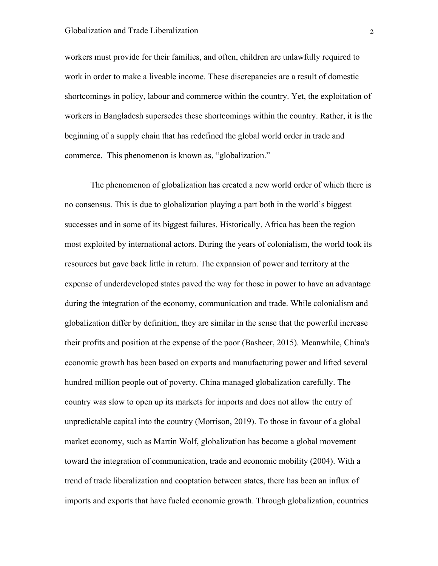workers must provide for their families, and often, children are unlawfully required to work in order to make a liveable income. These discrepancies are a result of domestic shortcomings in policy, labour and commerce within the country. Yet, the exploitation of workers in Bangladesh supersedes these shortcomings within the country. Rather, it is the beginning of a supply chain that has redefined the global world order in trade and commerce. This phenomenon is known as, "globalization."

The phenomenon of globalization has created a new world order of which there is no consensus. This is due to globalization playing a part both in the world's biggest successes and in some of its biggest failures. Historically, Africa has been the region most exploited by international actors. During the years of colonialism, the world took its resources but gave back little in return. The expansion of power and territory at the expense of underdeveloped states paved the way for those in power to have an advantage during the integration of the economy, communication and trade. While colonialism and globalization differ by definition, they are similar in the sense that the powerful increase their profits and position at the expense of the poor (Basheer, 2015). Meanwhile, China's economic growth has been based on exports and manufacturing power and lifted several hundred million people out of poverty. China managed globalization carefully. The country was slow to open up its markets for imports and does not allow the entry of unpredictable capital into the country (Morrison, 2019). To those in favour of a global market economy, such as Martin Wolf, globalization has become a global movement toward the integration of communication, trade and economic mobility (2004). With a trend of trade liberalization and cooptation between states, there has been an influx of imports and exports that have fueled economic growth. Through globalization, countries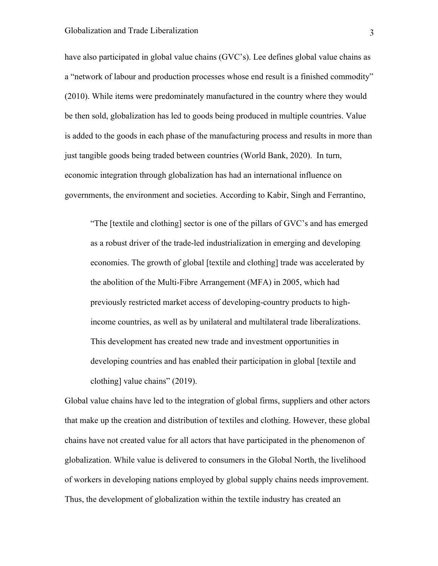have also participated in global value chains (GVC's). Lee defines global value chains as a "network of labour and production processes whose end result is a finished commodity" (2010). While items were predominately manufactured in the country where they would be then sold, globalization has led to goods being produced in multiple countries. Value is added to the goods in each phase of the manufacturing process and results in more than just tangible goods being traded between countries (World Bank, 2020). In turn, economic integration through globalization has had an international influence on governments, the environment and societies. According to Kabir, Singh and Ferrantino,

"The [textile and clothing] sector is one of the pillars of GVC's and has emerged as a robust driver of the trade-led industrialization in emerging and developing economies. The growth of global [textile and clothing] trade was accelerated by the abolition of the Multi-Fibre Arrangement (MFA) in 2005, which had previously restricted market access of developing-country products to highincome countries, as well as by unilateral and multilateral trade liberalizations. This development has created new trade and investment opportunities in developing countries and has enabled their participation in global [textile and clothing] value chains" (2019).

Global value chains have led to the integration of global firms, suppliers and other actors that make up the creation and distribution of textiles and clothing. However, these global chains have not created value for all actors that have participated in the phenomenon of globalization. While value is delivered to consumers in the Global North, the livelihood of workers in developing nations employed by global supply chains needs improvement. Thus, the development of globalization within the textile industry has created an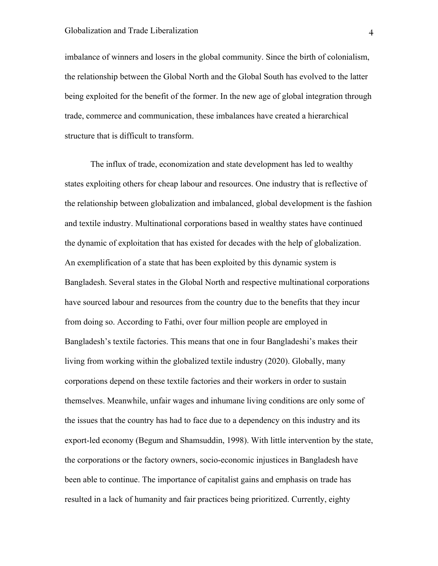imbalance of winners and losers in the global community. Since the birth of colonialism, the relationship between the Global North and the Global South has evolved to the latter being exploited for the benefit of the former. In the new age of global integration through trade, commerce and communication, these imbalances have created a hierarchical structure that is difficult to transform.

The influx of trade, economization and state development has led to wealthy states exploiting others for cheap labour and resources. One industry that is reflective of the relationship between globalization and imbalanced, global development is the fashion and textile industry. Multinational corporations based in wealthy states have continued the dynamic of exploitation that has existed for decades with the help of globalization. An exemplification of a state that has been exploited by this dynamic system is Bangladesh. Several states in the Global North and respective multinational corporations have sourced labour and resources from the country due to the benefits that they incur from doing so. According to Fathi, over four million people are employed in Bangladesh's textile factories. This means that one in four Bangladeshi's makes their living from working within the globalized textile industry (2020). Globally, many corporations depend on these textile factories and their workers in order to sustain themselves. Meanwhile, unfair wages and inhumane living conditions are only some of the issues that the country has had to face due to a dependency on this industry and its export-led economy (Begum and Shamsuddin, 1998). With little intervention by the state, the corporations or the factory owners, socio-economic injustices in Bangladesh have been able to continue. The importance of capitalist gains and emphasis on trade has resulted in a lack of humanity and fair practices being prioritized. Currently, eighty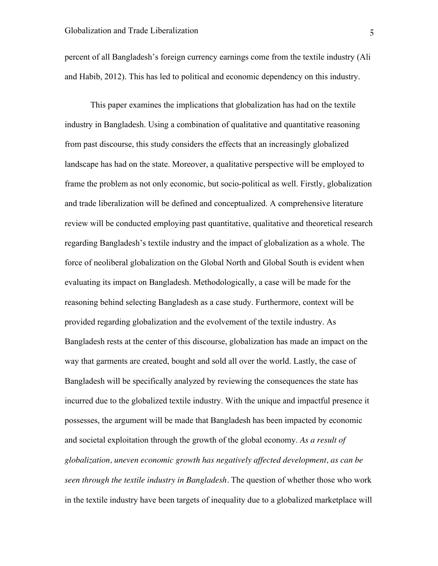percent of all Bangladesh's foreign currency earnings come from the textile industry (Ali and Habib, 2012). This has led to political and economic dependency on this industry.

This paper examines the implications that globalization has had on the textile industry in Bangladesh. Using a combination of qualitative and quantitative reasoning from past discourse, this study considers the effects that an increasingly globalized landscape has had on the state. Moreover, a qualitative perspective will be employed to frame the problem as not only economic, but socio-political as well. Firstly, globalization and trade liberalization will be defined and conceptualized. A comprehensive literature review will be conducted employing past quantitative, qualitative and theoretical research regarding Bangladesh's textile industry and the impact of globalization as a whole. The force of neoliberal globalization on the Global North and Global South is evident when evaluating its impact on Bangladesh. Methodologically, a case will be made for the reasoning behind selecting Bangladesh as a case study. Furthermore, context will be provided regarding globalization and the evolvement of the textile industry. As Bangladesh rests at the center of this discourse, globalization has made an impact on the way that garments are created, bought and sold all over the world. Lastly, the case of Bangladesh will be specifically analyzed by reviewing the consequences the state has incurred due to the globalized textile industry. With the unique and impactful presence it possesses, the argument will be made that Bangladesh has been impacted by economic and societal exploitation through the growth of the global economy. *As a result of globalization, uneven economic growth has negatively affected development, as can be seen through the textile industry in Bangladesh.* The question of whether those who work in the textile industry have been targets of inequality due to a globalized marketplace will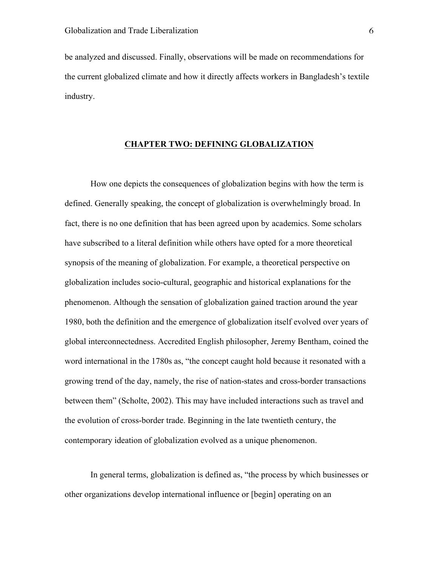be analyzed and discussed. Finally, observations will be made on recommendations for the current globalized climate and how it directly affects workers in Bangladesh's textile industry.

#### **CHAPTER TWO: DEFINING GLOBALIZATION**

How one depicts the consequences of globalization begins with how the term is defined. Generally speaking, the concept of globalization is overwhelmingly broad. In fact, there is no one definition that has been agreed upon by academics. Some scholars have subscribed to a literal definition while others have opted for a more theoretical synopsis of the meaning of globalization. For example, a theoretical perspective on globalization includes socio-cultural, geographic and historical explanations for the phenomenon. Although the sensation of globalization gained traction around the year 1980, both the definition and the emergence of globalization itself evolved over years of global interconnectedness. Accredited English philosopher, Jeremy Bentham, coined the word international in the 1780s as, "the concept caught hold because it resonated with a growing trend of the day, namely, the rise of nation-states and cross-border transactions between them" (Scholte, 2002). This may have included interactions such as travel and the evolution of cross-border trade. Beginning in the late twentieth century, the contemporary ideation of globalization evolved as a unique phenomenon.

In general terms, globalization is defined as, "the process by which businesses or other organizations develop international influence or [begin] operating on an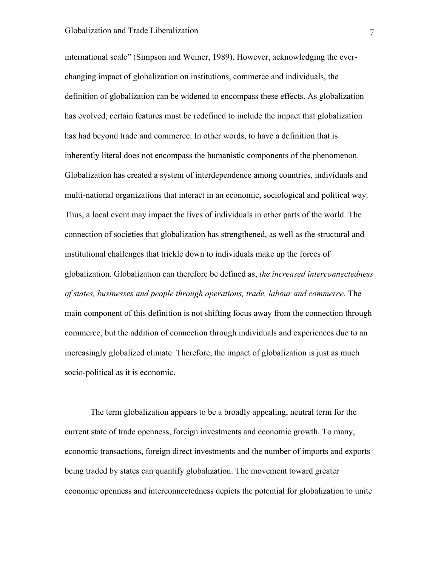international scale" (Simpson and Weiner, 1989). However, acknowledging the everchanging impact of globalization on institutions, commerce and individuals, the definition of globalization can be widened to encompass these effects. As globalization has evolved, certain features must be redefined to include the impact that globalization has had beyond trade and commerce. In other words, to have a definition that is inherently literal does not encompass the humanistic components of the phenomenon. Globalization has created a system of interdependence among countries, individuals and multi-national organizations that interact in an economic, sociological and political way. Thus, a local event may impact the lives of individuals in other parts of the world. The connection of societies that globalization has strengthened, as well as the structural and institutional challenges that trickle down to individuals make up the forces of globalization. Globalization can therefore be defined as, *the increased interconnectedness of states, businesses and people through operations, trade, labour and commerce.* The main component of this definition is not shifting focus away from the connection through commerce, but the addition of connection through individuals and experiences due to an increasingly globalized climate. Therefore, the impact of globalization is just as much socio-political as it is economic.

The term globalization appears to be a broadly appealing, neutral term for the current state of trade openness, foreign investments and economic growth. To many, economic transactions, foreign direct investments and the number of imports and exports being traded by states can quantify globalization. The movement toward greater economic openness and interconnectedness depicts the potential for globalization to unite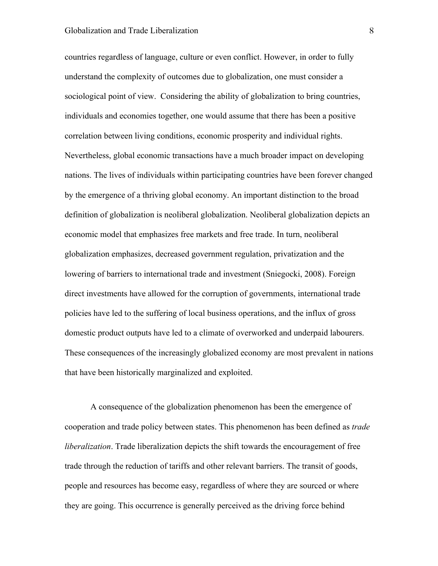#### Globalization and Trade Liberalization 8

countries regardless of language, culture or even conflict. However, in order to fully understand the complexity of outcomes due to globalization, one must consider a sociological point of view. Considering the ability of globalization to bring countries, individuals and economies together, one would assume that there has been a positive correlation between living conditions, economic prosperity and individual rights. Nevertheless, global economic transactions have a much broader impact on developing nations. The lives of individuals within participating countries have been forever changed by the emergence of a thriving global economy. An important distinction to the broad definition of globalization is neoliberal globalization. Neoliberal globalization depicts an economic model that emphasizes free markets and free trade. In turn, neoliberal globalization emphasizes, decreased government regulation, privatization and the lowering of barriers to international trade and investment (Sniegocki, 2008). Foreign direct investments have allowed for the corruption of governments, international trade policies have led to the suffering of local business operations, and the influx of gross domestic product outputs have led to a climate of overworked and underpaid labourers. These consequences of the increasingly globalized economy are most prevalent in nations that have been historically marginalized and exploited.

A consequence of the globalization phenomenon has been the emergence of cooperation and trade policy between states. This phenomenon has been defined as *trade liberalization*. Trade liberalization depicts the shift towards the encouragement of free trade through the reduction of tariffs and other relevant barriers. The transit of goods, people and resources has become easy, regardless of where they are sourced or where they are going. This occurrence is generally perceived as the driving force behind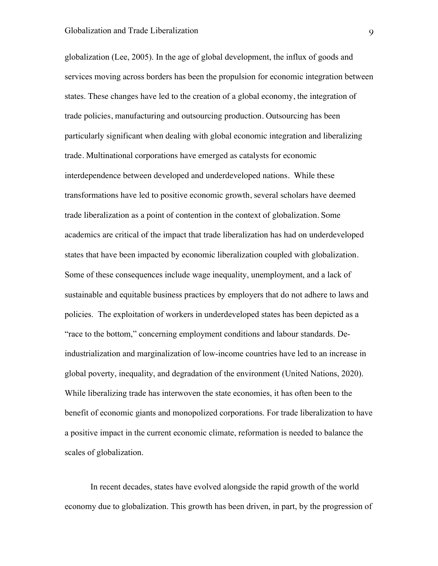globalization (Lee, 2005). In the age of global development, the influx of goods and services moving across borders has been the propulsion for economic integration between states. These changes have led to the creation of a global economy, the integration of trade policies, manufacturing and outsourcing production. Outsourcing has been particularly significant when dealing with global economic integration and liberalizing trade. Multinational corporations have emerged as catalysts for economic interdependence between developed and underdeveloped nations. While these transformations have led to positive economic growth, several scholars have deemed trade liberalization as a point of contention in the context of globalization. Some academics are critical of the impact that trade liberalization has had on underdeveloped states that have been impacted by economic liberalization coupled with globalization. Some of these consequences include wage inequality, unemployment, and a lack of sustainable and equitable business practices by employers that do not adhere to laws and policies. The exploitation of workers in underdeveloped states has been depicted as a "race to the bottom," concerning employment conditions and labour standards. Deindustrialization and marginalization of low-income countries have led to an increase in global poverty, inequality, and degradation of the environment (United Nations, 2020). While liberalizing trade has interwoven the state economies, it has often been to the benefit of economic giants and monopolized corporations. For trade liberalization to have a positive impact in the current economic climate, reformation is needed to balance the scales of globalization.

In recent decades, states have evolved alongside the rapid growth of the world economy due to globalization. This growth has been driven, in part, by the progression of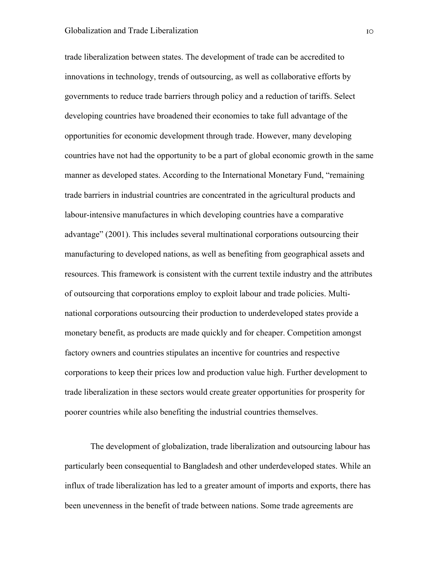trade liberalization between states. The development of trade can be accredited to innovations in technology, trends of outsourcing, as well as collaborative efforts by governments to reduce trade barriers through policy and a reduction of tariffs. Select developing countries have broadened their economies to take full advantage of the opportunities for economic development through trade. However, many developing countries have not had the opportunity to be a part of global economic growth in the same manner as developed states. According to the International Monetary Fund, "remaining trade barriers in industrial countries are concentrated in the agricultural products and labour-intensive manufactures in which developing countries have a comparative advantage" (2001). This includes several multinational corporations outsourcing their manufacturing to developed nations, as well as benefiting from geographical assets and resources. This framework is consistent with the current textile industry and the attributes of outsourcing that corporations employ to exploit labour and trade policies. Multinational corporations outsourcing their production to underdeveloped states provide a monetary benefit, as products are made quickly and for cheaper. Competition amongst factory owners and countries stipulates an incentive for countries and respective corporations to keep their prices low and production value high. Further development to trade liberalization in these sectors would create greater opportunities for prosperity for poorer countries while also benefiting the industrial countries themselves.

The development of globalization, trade liberalization and outsourcing labour has particularly been consequential to Bangladesh and other underdeveloped states. While an influx of trade liberalization has led to a greater amount of imports and exports, there has been unevenness in the benefit of trade between nations. Some trade agreements are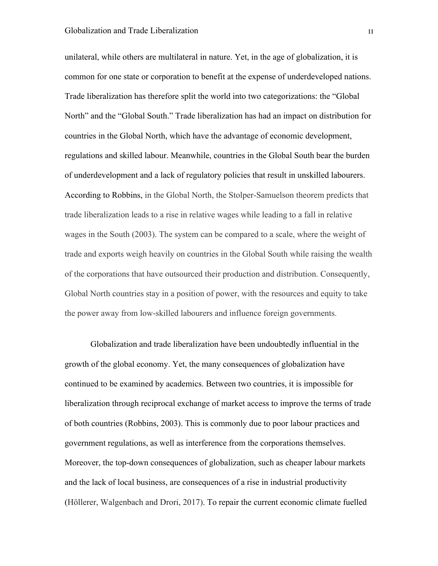unilateral, while others are multilateral in nature. Yet, in the age of globalization, it is common for one state or corporation to benefit at the expense of underdeveloped nations. Trade liberalization has therefore split the world into two categorizations: the "Global North" and the "Global South." Trade liberalization has had an impact on distribution for countries in the Global North, which have the advantage of economic development, regulations and skilled labour. Meanwhile, countries in the Global South bear the burden of underdevelopment and a lack of regulatory policies that result in unskilled labourers. According to Robbins, in the Global North, the Stolper-Samuelson theorem predicts that trade liberalization leads to a rise in relative wages while leading to a fall in relative wages in the South (2003). The system can be compared to a scale, where the weight of trade and exports weigh heavily on countries in the Global South while raising the wealth of the corporations that have outsourced their production and distribution. Consequently, Global North countries stay in a position of power, with the resources and equity to take the power away from low-skilled labourers and influence foreign governments.

Globalization and trade liberalization have been undoubtedly influential in the growth of the global economy. Yet, the many consequences of globalization have continued to be examined by academics. Between two countries, it is impossible for liberalization through reciprocal exchange of market access to improve the terms of trade of both countries (Robbins, 2003). This is commonly due to poor labour practices and government regulations, as well as interference from the corporations themselves. Moreover, the top-down consequences of globalization, such as cheaper labour markets and the lack of local business, are consequences of a rise in industrial productivity (Höllerer, Walgenbach and Drori, 2017). To repair the current economic climate fuelled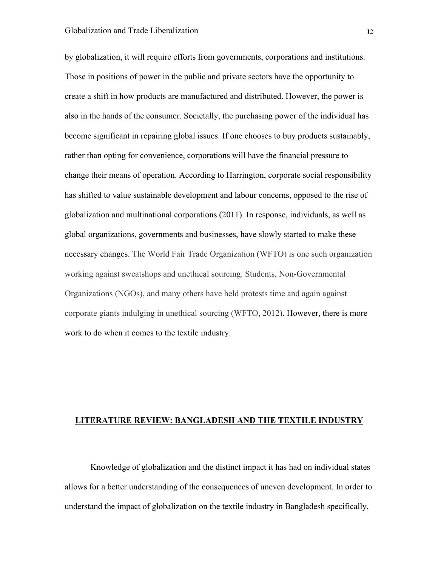by globalization, it will require efforts from governments, corporations and institutions. Those in positions of power in the public and private sectors have the opportunity to create a shift in how products are manufactured and distributed. However, the power is also in the hands of the consumer. Societally, the purchasing power of the individual has become significant in repairing global issues. If one chooses to buy products sustainably, rather than opting for convenience, corporations will have the financial pressure to change their means of operation. According to Harrington, corporate social responsibility has shifted to value sustainable development and labour concerns, opposed to the rise of globalization and multinational corporations (2011). In response, individuals, as well as global organizations, governments and businesses, have slowly started to make these necessary changes. The World Fair Trade Organization (WFTO) is one such organization working against sweatshops and unethical sourcing. Students, Non-Governmental Organizations (NGOs), and many others have held protests time and again against corporate giants indulging in unethical sourcing (WFTO, 2012). However, there is more work to do when it comes to the textile industry.

#### **LITERATURE REVIEW: BANGLADESH AND THE TEXTILE INDUSTRY**

Knowledge of globalization and the distinct impact it has had on individual states allows for a better understanding of the consequences of uneven development. In order to understand the impact of globalization on the textile industry in Bangladesh specifically,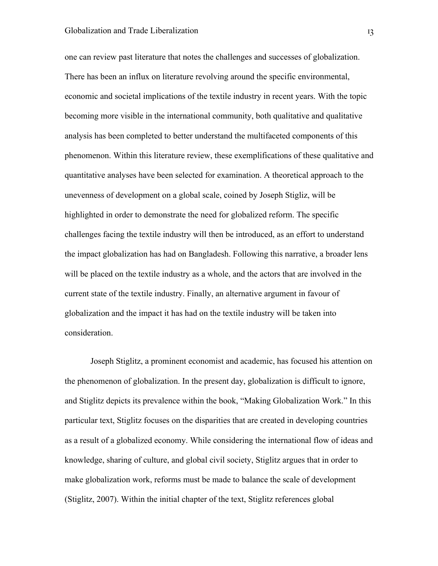one can review past literature that notes the challenges and successes of globalization. There has been an influx on literature revolving around the specific environmental, economic and societal implications of the textile industry in recent years. With the topic becoming more visible in the international community, both qualitative and qualitative analysis has been completed to better understand the multifaceted components of this phenomenon. Within this literature review, these exemplifications of these qualitative and quantitative analyses have been selected for examination. A theoretical approach to the unevenness of development on a global scale, coined by Joseph Stigliz, will be highlighted in order to demonstrate the need for globalized reform. The specific challenges facing the textile industry will then be introduced, as an effort to understand the impact globalization has had on Bangladesh. Following this narrative, a broader lens will be placed on the textile industry as a whole, and the actors that are involved in the current state of the textile industry. Finally, an alternative argument in favour of globalization and the impact it has had on the textile industry will be taken into consideration.

Joseph Stiglitz, a prominent economist and academic, has focused his attention on the phenomenon of globalization. In the present day, globalization is difficult to ignore, and Stiglitz depicts its prevalence within the book, "Making Globalization Work." In this particular text, Stiglitz focuses on the disparities that are created in developing countries as a result of a globalized economy. While considering the international flow of ideas and knowledge, sharing of culture, and global civil society, Stiglitz argues that in order to make globalization work, reforms must be made to balance the scale of development (Stiglitz, 2007). Within the initial chapter of the text, Stiglitz references global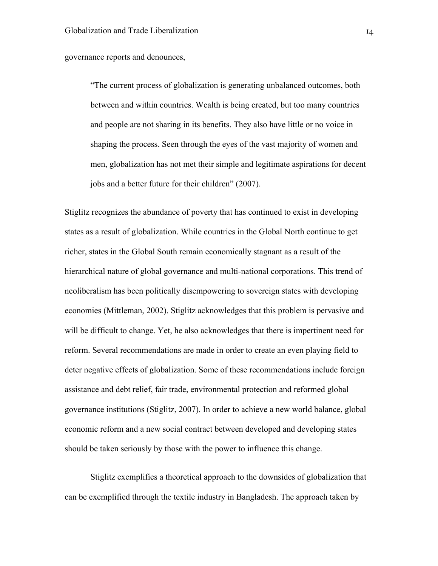#### governance reports and denounces,

"The current process of globalization is generating unbalanced outcomes, both between and within countries. Wealth is being created, but too many countries and people are not sharing in its benefits. They also have little or no voice in shaping the process. Seen through the eyes of the vast majority of women and men, globalization has not met their simple and legitimate aspirations for decent jobs and a better future for their children" (2007).

Stiglitz recognizes the abundance of poverty that has continued to exist in developing states as a result of globalization. While countries in the Global North continue to get richer, states in the Global South remain economically stagnant as a result of the hierarchical nature of global governance and multi-national corporations. This trend of neoliberalism has been politically disempowering to sovereign states with developing economies (Mittleman, 2002). Stiglitz acknowledges that this problem is pervasive and will be difficult to change. Yet, he also acknowledges that there is impertinent need for reform. Several recommendations are made in order to create an even playing field to deter negative effects of globalization. Some of these recommendations include foreign assistance and debt relief, fair trade, environmental protection and reformed global governance institutions (Stiglitz, 2007). In order to achieve a new world balance, global economic reform and a new social contract between developed and developing states should be taken seriously by those with the power to influence this change.

Stiglitz exemplifies a theoretical approach to the downsides of globalization that can be exemplified through the textile industry in Bangladesh. The approach taken by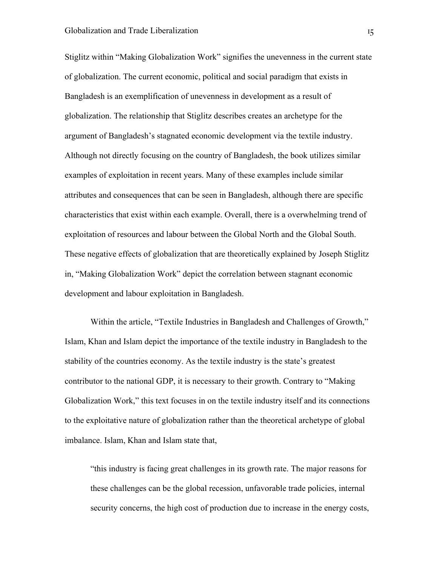Stiglitz within "Making Globalization Work" signifies the unevenness in the current state of globalization. The current economic, political and social paradigm that exists in Bangladesh is an exemplification of unevenness in development as a result of globalization. The relationship that Stiglitz describes creates an archetype for the argument of Bangladesh's stagnated economic development via the textile industry. Although not directly focusing on the country of Bangladesh, the book utilizes similar examples of exploitation in recent years. Many of these examples include similar attributes and consequences that can be seen in Bangladesh, although there are specific characteristics that exist within each example. Overall, there is a overwhelming trend of exploitation of resources and labour between the Global North and the Global South. These negative effects of globalization that are theoretically explained by Joseph Stiglitz in, "Making Globalization Work" depict the correlation between stagnant economic development and labour exploitation in Bangladesh.

Within the article, "Textile Industries in Bangladesh and Challenges of Growth," Islam, Khan and Islam depict the importance of the textile industry in Bangladesh to the stability of the countries economy. As the textile industry is the state's greatest contributor to the national GDP, it is necessary to their growth. Contrary to "Making Globalization Work," this text focuses in on the textile industry itself and its connections to the exploitative nature of globalization rather than the theoretical archetype of global imbalance. Islam, Khan and Islam state that,

"this industry is facing great challenges in its growth rate. The major reasons for these challenges can be the global recession, unfavorable trade policies, internal security concerns, the high cost of production due to increase in the energy costs,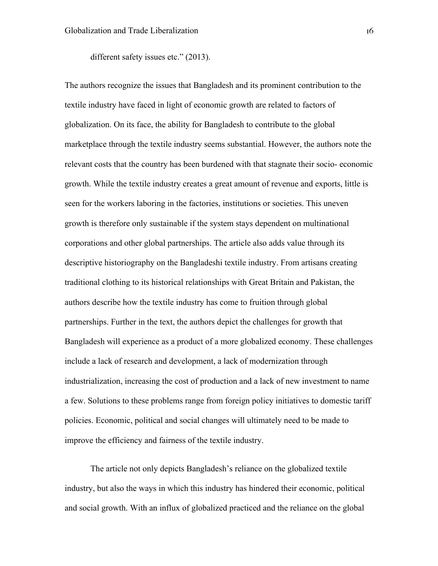different safety issues etc." (2013).

The authors recognize the issues that Bangladesh and its prominent contribution to the textile industry have faced in light of economic growth are related to factors of globalization. On its face, the ability for Bangladesh to contribute to the global marketplace through the textile industry seems substantial. However, the authors note the relevant costs that the country has been burdened with that stagnate their socio- economic growth. While the textile industry creates a great amount of revenue and exports, little is seen for the workers laboring in the factories, institutions or societies. This uneven growth is therefore only sustainable if the system stays dependent on multinational corporations and other global partnerships. The article also adds value through its descriptive historiography on the Bangladeshi textile industry. From artisans creating traditional clothing to its historical relationships with Great Britain and Pakistan, the authors describe how the textile industry has come to fruition through global partnerships. Further in the text, the authors depict the challenges for growth that Bangladesh will experience as a product of a more globalized economy. These challenges include a lack of research and development, a lack of modernization through industrialization, increasing the cost of production and a lack of new investment to name a few. Solutions to these problems range from foreign policy initiatives to domestic tariff policies. Economic, political and social changes will ultimately need to be made to improve the efficiency and fairness of the textile industry.

The article not only depicts Bangladesh's reliance on the globalized textile industry, but also the ways in which this industry has hindered their economic, political and social growth. With an influx of globalized practiced and the reliance on the global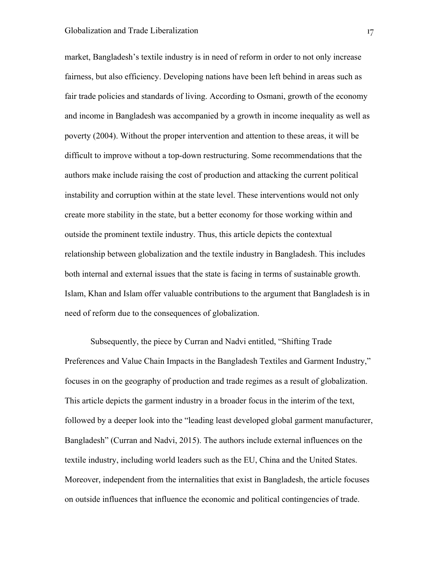#### Globalization and Trade Liberalization 17

market, Bangladesh's textile industry is in need of reform in order to not only increase fairness, but also efficiency. Developing nations have been left behind in areas such as fair trade policies and standards of living. According to Osmani, growth of the economy and income in Bangladesh was accompanied by a growth in income inequality as well as poverty (2004). Without the proper intervention and attention to these areas, it will be difficult to improve without a top-down restructuring. Some recommendations that the authors make include raising the cost of production and attacking the current political instability and corruption within at the state level. These interventions would not only create more stability in the state, but a better economy for those working within and outside the prominent textile industry. Thus, this article depicts the contextual relationship between globalization and the textile industry in Bangladesh. This includes both internal and external issues that the state is facing in terms of sustainable growth. Islam, Khan and Islam offer valuable contributions to the argument that Bangladesh is in need of reform due to the consequences of globalization.

Subsequently, the piece by Curran and Nadvi entitled, "Shifting Trade Preferences and Value Chain Impacts in the Bangladesh Textiles and Garment Industry," focuses in on the geography of production and trade regimes as a result of globalization. This article depicts the garment industry in a broader focus in the interim of the text, followed by a deeper look into the "leading least developed global garment manufacturer, Bangladesh" (Curran and Nadvi, 2015). The authors include external influences on the textile industry, including world leaders such as the EU, China and the United States. Moreover, independent from the internalities that exist in Bangladesh, the article focuses on outside influences that influence the economic and political contingencies of trade.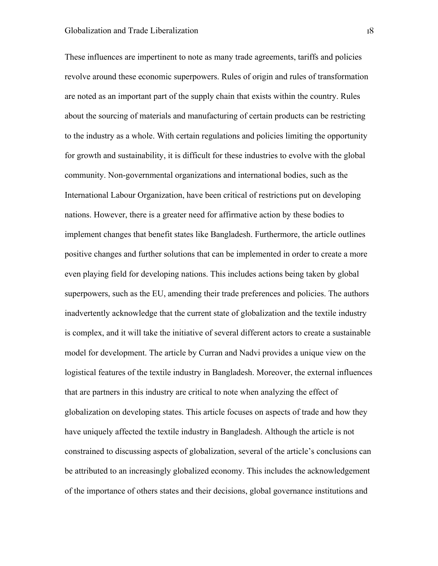These influences are impertinent to note as many trade agreements, tariffs and policies revolve around these economic superpowers. Rules of origin and rules of transformation are noted as an important part of the supply chain that exists within the country. Rules about the sourcing of materials and manufacturing of certain products can be restricting to the industry as a whole. With certain regulations and policies limiting the opportunity for growth and sustainability, it is difficult for these industries to evolve with the global community. Non-governmental organizations and international bodies, such as the International Labour Organization, have been critical of restrictions put on developing nations. However, there is a greater need for affirmative action by these bodies to implement changes that benefit states like Bangladesh. Furthermore, the article outlines positive changes and further solutions that can be implemented in order to create a more even playing field for developing nations. This includes actions being taken by global superpowers, such as the EU, amending their trade preferences and policies. The authors inadvertently acknowledge that the current state of globalization and the textile industry is complex, and it will take the initiative of several different actors to create a sustainable model for development. The article by Curran and Nadvi provides a unique view on the logistical features of the textile industry in Bangladesh. Moreover, the external influences that are partners in this industry are critical to note when analyzing the effect of globalization on developing states. This article focuses on aspects of trade and how they have uniquely affected the textile industry in Bangladesh. Although the article is not constrained to discussing aspects of globalization, several of the article's conclusions can be attributed to an increasingly globalized economy. This includes the acknowledgement of the importance of others states and their decisions, global governance institutions and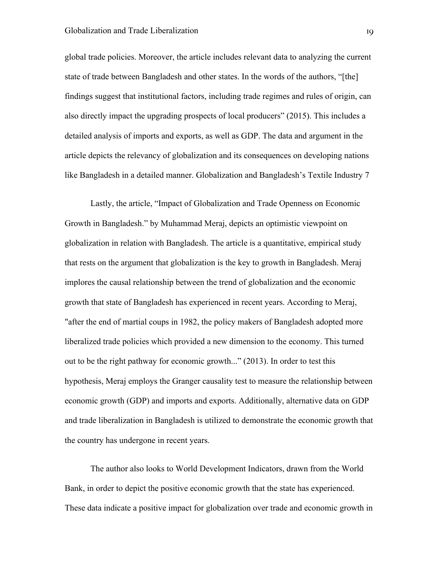global trade policies. Moreover, the article includes relevant data to analyzing the current state of trade between Bangladesh and other states. In the words of the authors, "[the] findings suggest that institutional factors, including trade regimes and rules of origin, can also directly impact the upgrading prospects of local producers" (2015). This includes a detailed analysis of imports and exports, as well as GDP. The data and argument in the article depicts the relevancy of globalization and its consequences on developing nations like Bangladesh in a detailed manner. Globalization and Bangladesh's Textile Industry 7

Lastly, the article, "Impact of Globalization and Trade Openness on Economic Growth in Bangladesh." by Muhammad Meraj, depicts an optimistic viewpoint on globalization in relation with Bangladesh. The article is a quantitative, empirical study that rests on the argument that globalization is the key to growth in Bangladesh. Meraj implores the causal relationship between the trend of globalization and the economic growth that state of Bangladesh has experienced in recent years. According to Meraj, "after the end of martial coups in 1982, the policy makers of Bangladesh adopted more liberalized trade policies which provided a new dimension to the economy. This turned out to be the right pathway for economic growth..." (2013). In order to test this hypothesis, Meraj employs the Granger causality test to measure the relationship between economic growth (GDP) and imports and exports. Additionally, alternative data on GDP and trade liberalization in Bangladesh is utilized to demonstrate the economic growth that the country has undergone in recent years.

The author also looks to World Development Indicators, drawn from the World Bank, in order to depict the positive economic growth that the state has experienced. These data indicate a positive impact for globalization over trade and economic growth in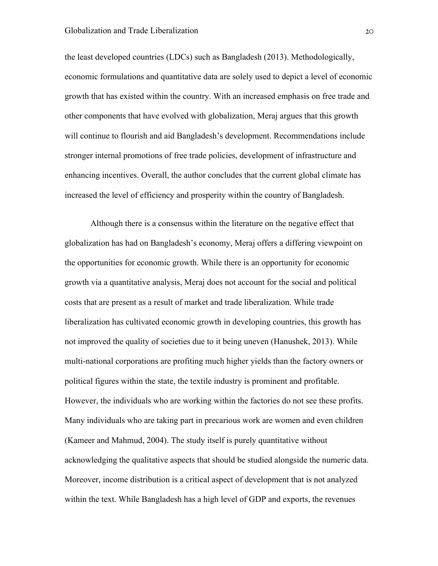the least developed countries (LDCs) such as Bangladesh (2013). Methodologically, economic formulations and quantitative data are solely used to depict a level of economic growth that has existed within the country. With an increased emphasis on free trade and other components that have evolved with globalization, Meraj argues that this growth will continue to flourish and aid Bangladesh's development. Recommendations include stronger internal promotions of free trade policies, development of infrastructure and enhancing incentives. Overall, the author concludes that the current global climate has increased the level of efficiency and prosperity within the country of Bangladesh.

Although there is a consensus within the literature on the negative effect that globalization has had on Bangladesh's economy, Meraj offers a differing viewpoint on the opportunities for economic growth. While there is an opportunity for economic growth via a quantitative analysis, Meraj does not account for the social and political costs that are present as a result of market and trade liberalization. While trade liberalization has cultivated economic growth in developing countries, this growth has not improved the quality of societies due to it being uneven (Hanushek, 2013). While multi-national corporations are profiting much higher yields than the factory owners or political figures within the state, the textile industry is prominent and profitable. However, the individuals who are working within the factories do not see these profits. Many individuals who are taking part in precarious work are women and even children (Kameer and Mahmud, 2004). The study itself is purely quantitative without acknowledging the qualitative aspects that should be studied alongside the numeric data. Moreover, income distribution is a critical aspect of development that is not analyzed within the text. While Bangladesh has a high level of GDP and exports, the revenues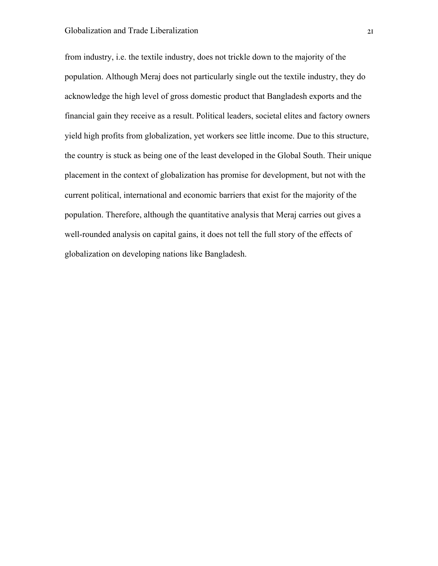from industry, i.e. the textile industry, does not trickle down to the majority of the population. Although Meraj does not particularly single out the textile industry, they do acknowledge the high level of gross domestic product that Bangladesh exports and the financial gain they receive as a result. Political leaders, societal elites and factory owners yield high profits from globalization, yet workers see little income. Due to this structure, the country is stuck as being one of the least developed in the Global South. Their unique placement in the context of globalization has promise for development, but not with the current political, international and economic barriers that exist for the majority of the population. Therefore, although the quantitative analysis that Meraj carries out gives a well-rounded analysis on capital gains, it does not tell the full story of the effects of globalization on developing nations like Bangladesh.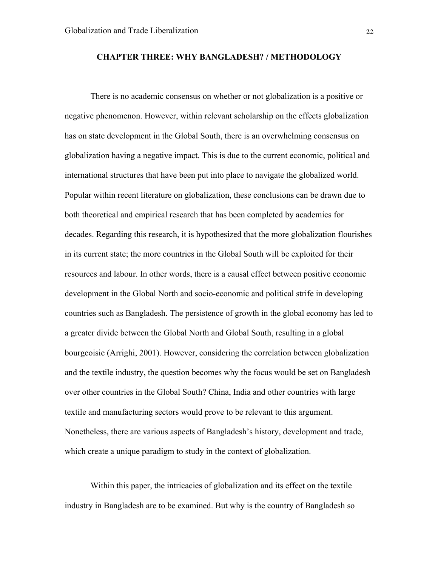#### **CHAPTER THREE: WHY BANGLADESH? / METHODOLOGY**

There is no academic consensus on whether or not globalization is a positive or negative phenomenon. However, within relevant scholarship on the effects globalization has on state development in the Global South, there is an overwhelming consensus on globalization having a negative impact. This is due to the current economic, political and international structures that have been put into place to navigate the globalized world. Popular within recent literature on globalization, these conclusions can be drawn due to both theoretical and empirical research that has been completed by academics for decades. Regarding this research, it is hypothesized that the more globalization flourishes in its current state; the more countries in the Global South will be exploited for their resources and labour. In other words, there is a causal effect between positive economic development in the Global North and socio-economic and political strife in developing countries such as Bangladesh. The persistence of growth in the global economy has led to a greater divide between the Global North and Global South, resulting in a global bourgeoisie (Arrighi, 2001). However, considering the correlation between globalization and the textile industry, the question becomes why the focus would be set on Bangladesh over other countries in the Global South? China, India and other countries with large textile and manufacturing sectors would prove to be relevant to this argument. Nonetheless, there are various aspects of Bangladesh's history, development and trade, which create a unique paradigm to study in the context of globalization.

Within this paper, the intricacies of globalization and its effect on the textile industry in Bangladesh are to be examined. But why is the country of Bangladesh so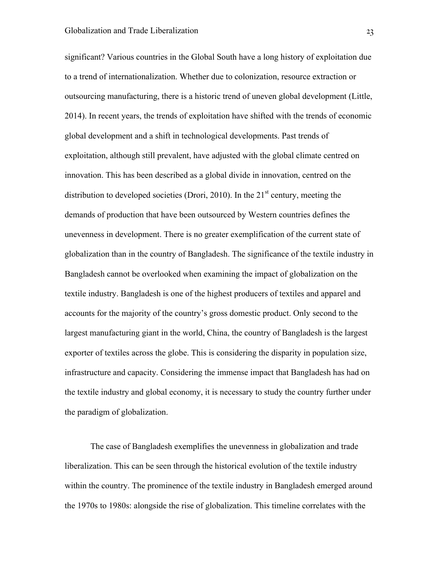significant? Various countries in the Global South have a long history of exploitation due to a trend of internationalization. Whether due to colonization, resource extraction or outsourcing manufacturing, there is a historic trend of uneven global development (Little, 2014). In recent years, the trends of exploitation have shifted with the trends of economic global development and a shift in technological developments. Past trends of exploitation, although still prevalent, have adjusted with the global climate centred on innovation. This has been described as a global divide in innovation, centred on the distribution to developed societies (Drori, 2010). In the  $21<sup>st</sup>$  century, meeting the demands of production that have been outsourced by Western countries defines the unevenness in development. There is no greater exemplification of the current state of globalization than in the country of Bangladesh. The significance of the textile industry in Bangladesh cannot be overlooked when examining the impact of globalization on the textile industry. Bangladesh is one of the highest producers of textiles and apparel and accounts for the majority of the country's gross domestic product. Only second to the largest manufacturing giant in the world, China, the country of Bangladesh is the largest exporter of textiles across the globe. This is considering the disparity in population size, infrastructure and capacity. Considering the immense impact that Bangladesh has had on the textile industry and global economy, it is necessary to study the country further under the paradigm of globalization.

The case of Bangladesh exemplifies the unevenness in globalization and trade liberalization. This can be seen through the historical evolution of the textile industry within the country. The prominence of the textile industry in Bangladesh emerged around the 1970s to 1980s: alongside the rise of globalization. This timeline correlates with the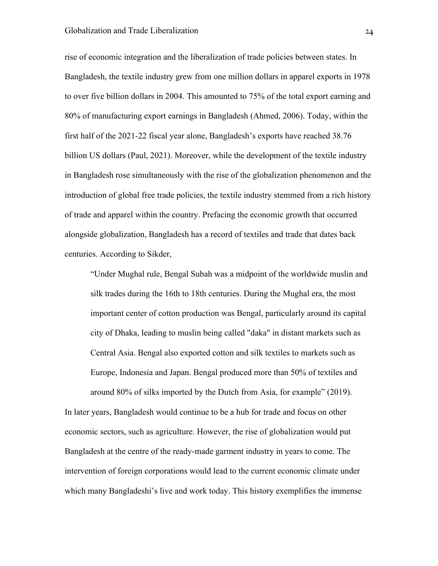#### Globalization and Trade Liberalization 24

rise of economic integration and the liberalization of trade policies between states. In Bangladesh, the textile industry grew from one million dollars in apparel exports in 1978 to over five billion dollars in 2004. This amounted to 75% of the total export earning and 80% of manufacturing export earnings in Bangladesh (Ahmed, 2006). Today, within the first half of the 2021-22 fiscal year alone, Bangladesh's exports have reached 38.76 billion US dollars (Paul, 2021). Moreover, while the development of the textile industry in Bangladesh rose simultaneously with the rise of the globalization phenomenon and the introduction of global free trade policies, the textile industry stemmed from a rich history of trade and apparel within the country. Prefacing the economic growth that occurred alongside globalization, Bangladesh has a record of textiles and trade that dates back centuries. According to Sikder,

"Under Mughal rule, Bengal Subah was a midpoint of the worldwide muslin and silk trades during the 16th to 18th centuries. During the Mughal era, the most important center of cotton production was Bengal, particularly around its capital city of Dhaka, leading to muslin being called "daka" in distant markets such as Central Asia. Bengal also exported cotton and silk textiles to markets such as Europe, Indonesia and Japan. Bengal produced more than 50% of textiles and around 80% of silks imported by the Dutch from Asia, for example" (2019).

In later years, Bangladesh would continue to be a hub for trade and focus on other economic sectors, such as agriculture. However, the rise of globalization would put Bangladesh at the centre of the ready-made garment industry in years to come. The intervention of foreign corporations would lead to the current economic climate under which many Bangladeshi's live and work today. This history exemplifies the immense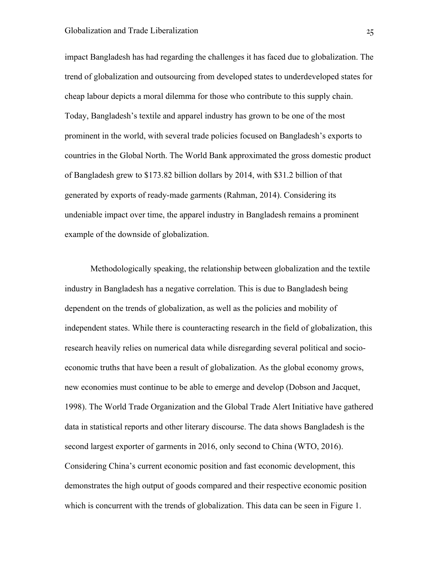impact Bangladesh has had regarding the challenges it has faced due to globalization. The trend of globalization and outsourcing from developed states to underdeveloped states for cheap labour depicts a moral dilemma for those who contribute to this supply chain. Today, Bangladesh's textile and apparel industry has grown to be one of the most prominent in the world, with several trade policies focused on Bangladesh's exports to countries in the Global North. The World Bank approximated the gross domestic product of Bangladesh grew to \$173.82 billion dollars by 2014, with \$31.2 billion of that generated by exports of ready-made garments (Rahman, 2014). Considering its undeniable impact over time, the apparel industry in Bangladesh remains a prominent example of the downside of globalization.

Methodologically speaking, the relationship between globalization and the textile industry in Bangladesh has a negative correlation. This is due to Bangladesh being dependent on the trends of globalization, as well as the policies and mobility of independent states. While there is counteracting research in the field of globalization, this research heavily relies on numerical data while disregarding several political and socioeconomic truths that have been a result of globalization. As the global economy grows, new economies must continue to be able to emerge and develop (Dobson and Jacquet, 1998). The World Trade Organization and the Global Trade Alert Initiative have gathered data in statistical reports and other literary discourse. The data shows Bangladesh is the second largest exporter of garments in 2016, only second to China (WTO, 2016). Considering China's current economic position and fast economic development, this demonstrates the high output of goods compared and their respective economic position which is concurrent with the trends of globalization. This data can be seen in Figure 1.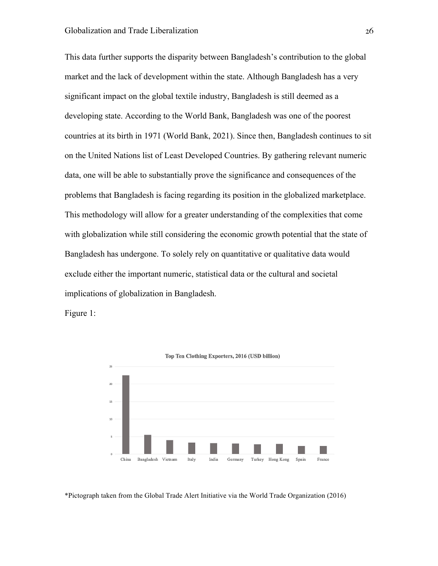This data further supports the disparity between Bangladesh's contribution to the global market and the lack of development within the state. Although Bangladesh has a very significant impact on the global textile industry, Bangladesh is still deemed as a developing state. According to the World Bank, Bangladesh was one of the poorest countries at its birth in 1971 (World Bank, 2021). Since then, Bangladesh continues to sit on the United Nations list of Least Developed Countries. By gathering relevant numeric data, one will be able to substantially prove the significance and consequences of the problems that Bangladesh is facing regarding its position in the globalized marketplace. This methodology will allow for a greater understanding of the complexities that come with globalization while still considering the economic growth potential that the state of Bangladesh has undergone. To solely rely on quantitative or qualitative data would exclude either the important numeric, statistical data or the cultural and societal implications of globalization in Bangladesh.

Figure 1:



<sup>\*</sup>Pictograph taken from the Global Trade Alert Initiative via the World Trade Organization (2016)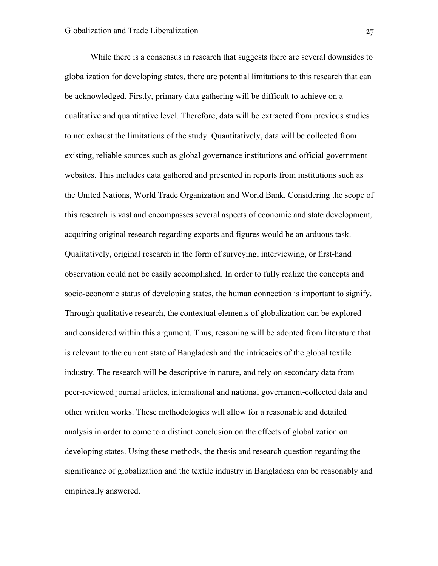While there is a consensus in research that suggests there are several downsides to globalization for developing states, there are potential limitations to this research that can be acknowledged. Firstly, primary data gathering will be difficult to achieve on a qualitative and quantitative level. Therefore, data will be extracted from previous studies to not exhaust the limitations of the study. Quantitatively, data will be collected from existing, reliable sources such as global governance institutions and official government websites. This includes data gathered and presented in reports from institutions such as the United Nations, World Trade Organization and World Bank. Considering the scope of this research is vast and encompasses several aspects of economic and state development, acquiring original research regarding exports and figures would be an arduous task. Qualitatively, original research in the form of surveying, interviewing, or first-hand observation could not be easily accomplished. In order to fully realize the concepts and socio-economic status of developing states, the human connection is important to signify. Through qualitative research, the contextual elements of globalization can be explored and considered within this argument. Thus, reasoning will be adopted from literature that is relevant to the current state of Bangladesh and the intricacies of the global textile industry. The research will be descriptive in nature, and rely on secondary data from peer-reviewed journal articles, international and national government-collected data and other written works. These methodologies will allow for a reasonable and detailed analysis in order to come to a distinct conclusion on the effects of globalization on developing states. Using these methods, the thesis and research question regarding the significance of globalization and the textile industry in Bangladesh can be reasonably and empirically answered.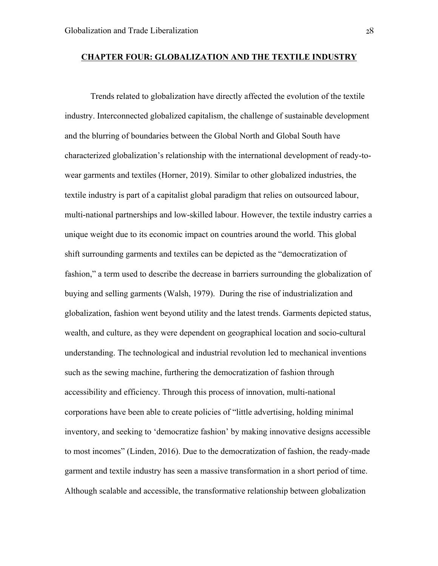#### **CHAPTER FOUR: GLOBALIZATION AND THE TEXTILE INDUSTRY**

Trends related to globalization have directly affected the evolution of the textile industry. Interconnected globalized capitalism, the challenge of sustainable development and the blurring of boundaries between the Global North and Global South have characterized globalization's relationship with the international development of ready-towear garments and textiles (Horner, 2019). Similar to other globalized industries, the textile industry is part of a capitalist global paradigm that relies on outsourced labour, multi-national partnerships and low-skilled labour. However, the textile industry carries a unique weight due to its economic impact on countries around the world. This global shift surrounding garments and textiles can be depicted as the "democratization of fashion," a term used to describe the decrease in barriers surrounding the globalization of buying and selling garments (Walsh, 1979). During the rise of industrialization and globalization, fashion went beyond utility and the latest trends. Garments depicted status, wealth, and culture, as they were dependent on geographical location and socio-cultural understanding. The technological and industrial revolution led to mechanical inventions such as the sewing machine, furthering the democratization of fashion through accessibility and efficiency. Through this process of innovation, multi-national corporations have been able to create policies of "little advertising, holding minimal inventory, and seeking to 'democratize fashion' by making innovative designs accessible to most incomes" (Linden, 2016). Due to the democratization of fashion, the ready-made garment and textile industry has seen a massive transformation in a short period of time. Although scalable and accessible, the transformative relationship between globalization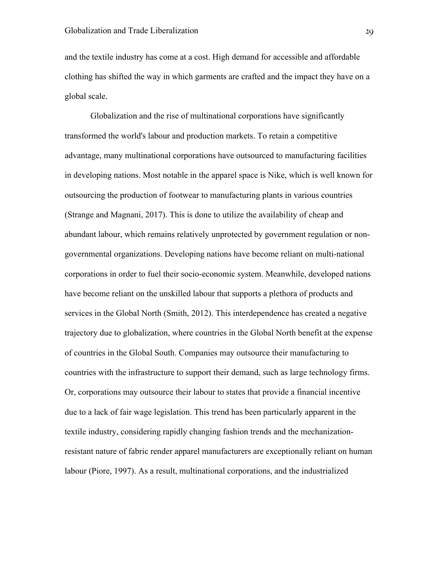and the textile industry has come at a cost. High demand for accessible and affordable clothing has shifted the way in which garments are crafted and the impact they have on a global scale.

Globalization and the rise of multinational corporations have significantly transformed the world's labour and production markets. To retain a competitive advantage, many multinational corporations have outsourced to manufacturing facilities in developing nations. Most notable in the apparel space is Nike, which is well known for outsourcing the production of footwear to manufacturing plants in various countries (Strange and Magnani, 2017). This is done to utilize the availability of cheap and abundant labour, which remains relatively unprotected by government regulation or nongovernmental organizations. Developing nations have become reliant on multi-national corporations in order to fuel their socio-economic system. Meanwhile, developed nations have become reliant on the unskilled labour that supports a plethora of products and services in the Global North (Smith, 2012). This interdependence has created a negative trajectory due to globalization, where countries in the Global North benefit at the expense of countries in the Global South. Companies may outsource their manufacturing to countries with the infrastructure to support their demand, such as large technology firms. Or, corporations may outsource their labour to states that provide a financial incentive due to a lack of fair wage legislation. This trend has been particularly apparent in the textile industry, considering rapidly changing fashion trends and the mechanizationresistant nature of fabric render apparel manufacturers are exceptionally reliant on human labour (Piore, 1997). As a result, multinational corporations, and the industrialized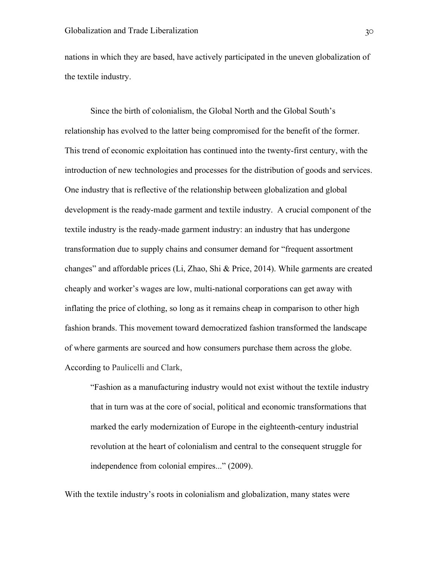nations in which they are based, have actively participated in the uneven globalization of the textile industry.

Since the birth of colonialism, the Global North and the Global South's relationship has evolved to the latter being compromised for the benefit of the former. This trend of economic exploitation has continued into the twenty-first century, with the introduction of new technologies and processes for the distribution of goods and services. One industry that is reflective of the relationship between globalization and global development is the ready-made garment and textile industry. A crucial component of the textile industry is the ready-made garment industry: an industry that has undergone transformation due to supply chains and consumer demand for "frequent assortment changes" and affordable prices (Li, Zhao, Shi & Price, 2014). While garments are created cheaply and worker's wages are low, multi-national corporations can get away with inflating the price of clothing, so long as it remains cheap in comparison to other high fashion brands. This movement toward democratized fashion transformed the landscape of where garments are sourced and how consumers purchase them across the globe. According to Paulicelli and Clark,

"Fashion as a manufacturing industry would not exist without the textile industry that in turn was at the core of social, political and economic transformations that marked the early modernization of Europe in the eighteenth-century industrial revolution at the heart of colonialism and central to the consequent struggle for independence from colonial empires..." (2009).

With the textile industry's roots in colonialism and globalization, many states were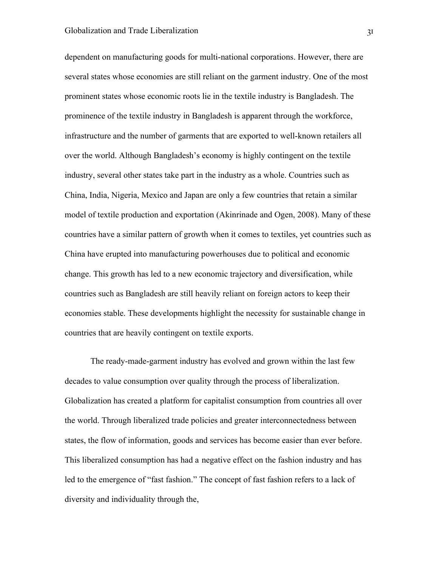dependent on manufacturing goods for multi-national corporations. However, there are several states whose economies are still reliant on the garment industry. One of the most prominent states whose economic roots lie in the textile industry is Bangladesh. The prominence of the textile industry in Bangladesh is apparent through the workforce, infrastructure and the number of garments that are exported to well-known retailers all over the world. Although Bangladesh's economy is highly contingent on the textile industry, several other states take part in the industry as a whole. Countries such as China, India, Nigeria, Mexico and Japan are only a few countries that retain a similar model of textile production and exportation (Akinrinade and Ogen, 2008). Many of these countries have a similar pattern of growth when it comes to textiles, yet countries such as China have erupted into manufacturing powerhouses due to political and economic change. This growth has led to a new economic trajectory and diversification, while countries such as Bangladesh are still heavily reliant on foreign actors to keep their economies stable. These developments highlight the necessity for sustainable change in countries that are heavily contingent on textile exports.

The ready-made-garment industry has evolved and grown within the last few decades to value consumption over quality through the process of liberalization. Globalization has created a platform for capitalist consumption from countries all over the world. Through liberalized trade policies and greater interconnectedness between states, the flow of information, goods and services has become easier than ever before. This liberalized consumption has had a negative effect on the fashion industry and has led to the emergence of "fast fashion." The concept of fast fashion refers to a lack of diversity and individuality through the,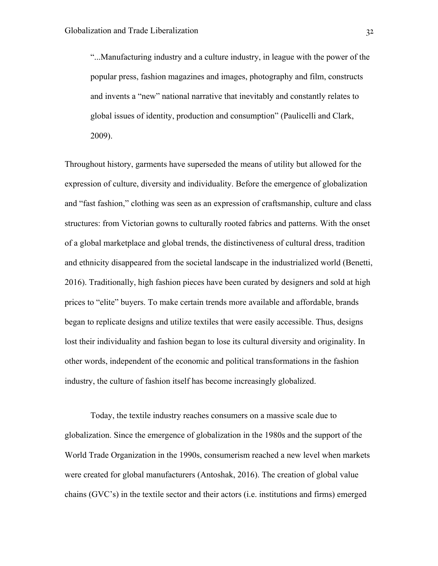"...Manufacturing industry and a culture industry, in league with the power of the popular press, fashion magazines and images, photography and film, constructs and invents a "new" national narrative that inevitably and constantly relates to global issues of identity, production and consumption" (Paulicelli and Clark, 2009).

Throughout history, garments have superseded the means of utility but allowed for the expression of culture, diversity and individuality. Before the emergence of globalization and "fast fashion," clothing was seen as an expression of craftsmanship, culture and class structures: from Victorian gowns to culturally rooted fabrics and patterns. With the onset of a global marketplace and global trends, the distinctiveness of cultural dress, tradition and ethnicity disappeared from the societal landscape in the industrialized world (Benetti, 2016). Traditionally, high fashion pieces have been curated by designers and sold at high prices to "elite" buyers. To make certain trends more available and affordable, brands began to replicate designs and utilize textiles that were easily accessible. Thus, designs lost their individuality and fashion began to lose its cultural diversity and originality. In other words, independent of the economic and political transformations in the fashion industry, the culture of fashion itself has become increasingly globalized.

Today, the textile industry reaches consumers on a massive scale due to globalization. Since the emergence of globalization in the 1980s and the support of the World Trade Organization in the 1990s, consumerism reached a new level when markets were created for global manufacturers (Antoshak, 2016). The creation of global value chains (GVC's) in the textile sector and their actors (i.e. institutions and firms) emerged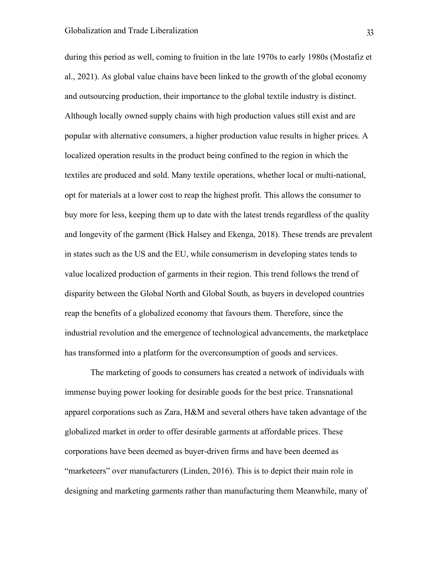during this period as well, coming to fruition in the late 1970s to early 1980s (Mostafiz et al., 2021). As global value chains have been linked to the growth of the global economy and outsourcing production, their importance to the global textile industry is distinct. Although locally owned supply chains with high production values still exist and are popular with alternative consumers, a higher production value results in higher prices. A localized operation results in the product being confined to the region in which the textiles are produced and sold. Many textile operations, whether local or multi-national, opt for materials at a lower cost to reap the highest profit. This allows the consumer to buy more for less, keeping them up to date with the latest trends regardless of the quality and longevity of the garment (Bick Halsey and Ekenga, 2018). These trends are prevalent in states such as the US and the EU, while consumerism in developing states tends to value localized production of garments in their region. This trend follows the trend of disparity between the Global North and Global South, as buyers in developed countries reap the benefits of a globalized economy that favours them. Therefore, since the industrial revolution and the emergence of technological advancements, the marketplace has transformed into a platform for the overconsumption of goods and services.

The marketing of goods to consumers has created a network of individuals with immense buying power looking for desirable goods for the best price. Transnational apparel corporations such as Zara, H&M and several others have taken advantage of the globalized market in order to offer desirable garments at affordable prices. These corporations have been deemed as buyer-driven firms and have been deemed as "marketeers" over manufacturers (Linden, 2016). This is to depict their main role in designing and marketing garments rather than manufacturing them Meanwhile, many of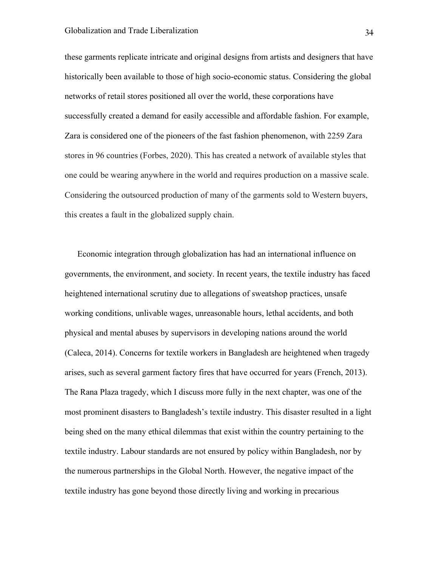these garments replicate intricate and original designs from artists and designers that have historically been available to those of high socio-economic status. Considering the global networks of retail stores positioned all over the world, these corporations have successfully created a demand for easily accessible and affordable fashion. For example, Zara is considered one of the pioneers of the fast fashion phenomenon, with 2259 Zara stores in 96 countries (Forbes, 2020). This has created a network of available styles that one could be wearing anywhere in the world and requires production on a massive scale. Considering the outsourced production of many of the garments sold to Western buyers, this creates a fault in the globalized supply chain.

Economic integration through globalization has had an international influence on governments, the environment, and society. In recent years, the textile industry has faced heightened international scrutiny due to allegations of sweatshop practices, unsafe working conditions, unlivable wages, unreasonable hours, lethal accidents, and both physical and mental abuses by supervisors in developing nations around the world (Caleca, 2014). Concerns for textile workers in Bangladesh are heightened when tragedy arises, such as several garment factory fires that have occurred for years (French, 2013). The Rana Plaza tragedy, which I discuss more fully in the next chapter, was one of the most prominent disasters to Bangladesh's textile industry. This disaster resulted in a light being shed on the many ethical dilemmas that exist within the country pertaining to the textile industry. Labour standards are not ensured by policy within Bangladesh, nor by the numerous partnerships in the Global North. However, the negative impact of the textile industry has gone beyond those directly living and working in precarious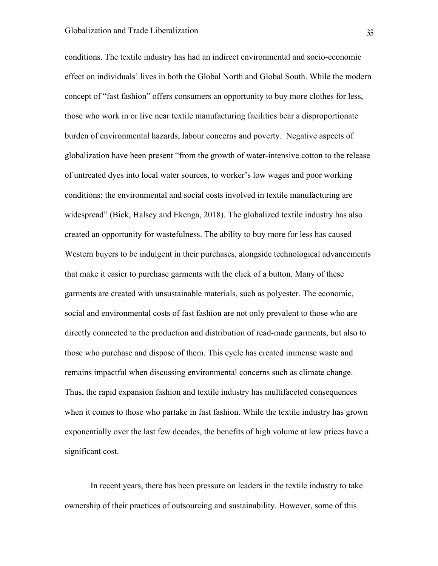conditions. The textile industry has had an indirect environmental and socio-economic effect on individuals' lives in both the Global North and Global South. While the modern concept of "fast fashion" offers consumers an opportunity to buy more clothes for less, those who work in or live near textile manufacturing facilities bear a disproportionate burden of environmental hazards, labour concerns and poverty. Negative aspects of globalization have been present "from the growth of water-intensive cotton to the release of untreated dyes into local water sources, to worker's low wages and poor working conditions; the environmental and social costs involved in textile manufacturing are widespread" (Bick, Halsey and Ekenga, 2018). The globalized textile industry has also created an opportunity for wastefulness. The ability to buy more for less has caused Western buyers to be indulgent in their purchases, alongside technological advancements that make it easier to purchase garments with the click of a button. Many of these garments are created with unsustainable materials, such as polyester. The economic, social and environmental costs of fast fashion are not only prevalent to those who are directly connected to the production and distribution of read-made garments, but also to those who purchase and dispose of them. This cycle has created immense waste and remains impactful when discussing environmental concerns such as climate change. Thus, the rapid expansion fashion and textile industry has multifaceted consequences when it comes to those who partake in fast fashion. While the textile industry has grown exponentially over the last few decades, the benefits of high volume at low prices have a significant cost.

In recent years, there has been pressure on leaders in the textile industry to take ownership of their practices of outsourcing and sustainability. However, some of this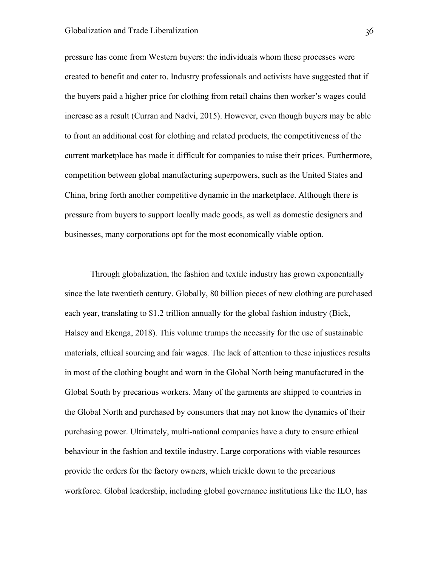#### Globalization and Trade Liberalization 36

pressure has come from Western buyers: the individuals whom these processes were created to benefit and cater to. Industry professionals and activists have suggested that if the buyers paid a higher price for clothing from retail chains then worker's wages could increase as a result (Curran and Nadvi, 2015). However, even though buyers may be able to front an additional cost for clothing and related products, the competitiveness of the current marketplace has made it difficult for companies to raise their prices. Furthermore, competition between global manufacturing superpowers, such as the United States and China, bring forth another competitive dynamic in the marketplace. Although there is pressure from buyers to support locally made goods, as well as domestic designers and businesses, many corporations opt for the most economically viable option.

Through globalization, the fashion and textile industry has grown exponentially since the late twentieth century. Globally, 80 billion pieces of new clothing are purchased each year, translating to \$1.2 trillion annually for the global fashion industry (Bick, Halsey and Ekenga, 2018). This volume trumps the necessity for the use of sustainable materials, ethical sourcing and fair wages. The lack of attention to these injustices results in most of the clothing bought and worn in the Global North being manufactured in the Global South by precarious workers. Many of the garments are shipped to countries in the Global North and purchased by consumers that may not know the dynamics of their purchasing power. Ultimately, multi-national companies have a duty to ensure ethical behaviour in the fashion and textile industry. Large corporations with viable resources provide the orders for the factory owners, which trickle down to the precarious workforce. Global leadership, including global governance institutions like the ILO, has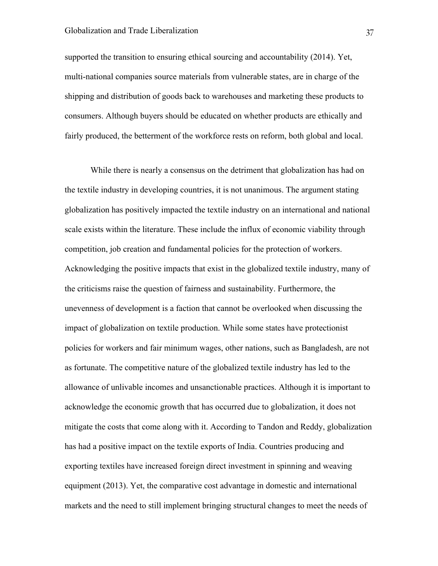# Globalization and Trade Liberalization 37

supported the transition to ensuring ethical sourcing and accountability (2014). Yet, multi-national companies source materials from vulnerable states, are in charge of the shipping and distribution of goods back to warehouses and marketing these products to consumers. Although buyers should be educated on whether products are ethically and fairly produced, the betterment of the workforce rests on reform, both global and local.

While there is nearly a consensus on the detriment that globalization has had on the textile industry in developing countries, it is not unanimous. The argument stating globalization has positively impacted the textile industry on an international and national scale exists within the literature. These include the influx of economic viability through competition, job creation and fundamental policies for the protection of workers. Acknowledging the positive impacts that exist in the globalized textile industry, many of the criticisms raise the question of fairness and sustainability. Furthermore, the unevenness of development is a faction that cannot be overlooked when discussing the impact of globalization on textile production. While some states have protectionist policies for workers and fair minimum wages, other nations, such as Bangladesh, are not as fortunate. The competitive nature of the globalized textile industry has led to the allowance of unlivable incomes and unsanctionable practices. Although it is important to acknowledge the economic growth that has occurred due to globalization, it does not mitigate the costs that come along with it. According to Tandon and Reddy, globalization has had a positive impact on the textile exports of India. Countries producing and exporting textiles have increased foreign direct investment in spinning and weaving equipment (2013). Yet, the comparative cost advantage in domestic and international markets and the need to still implement bringing structural changes to meet the needs of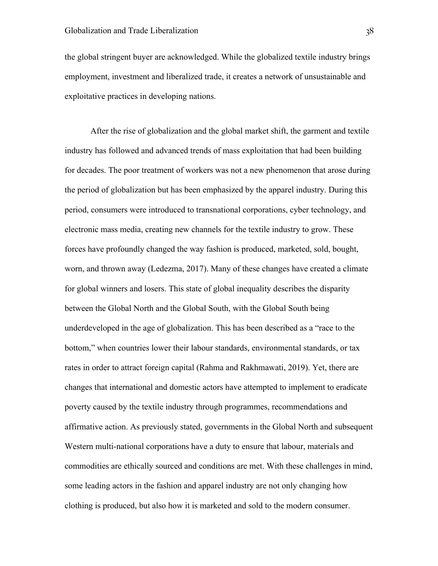the global stringent buyer are acknowledged. While the globalized textile industry brings employment, investment and liberalized trade, it creates a network of unsustainable and exploitative practices in developing nations.

After the rise of globalization and the global market shift, the garment and textile industry has followed and advanced trends of mass exploitation that had been building for decades. The poor treatment of workers was not a new phenomenon that arose during the period of globalization but has been emphasized by the apparel industry. During this period, consumers were introduced to transnational corporations, cyber technology, and electronic mass media, creating new channels for the textile industry to grow. These forces have profoundly changed the way fashion is produced, marketed, sold, bought, worn, and thrown away (Ledezma, 2017). Many of these changes have created a climate for global winners and losers. This state of global inequality describes the disparity between the Global North and the Global South, with the Global South being underdeveloped in the age of globalization. This has been described as a "race to the bottom," when countries lower their labour standards, environmental standards, or tax rates in order to attract foreign capital (Rahma and Rakhmawati, 2019). Yet, there are changes that international and domestic actors have attempted to implement to eradicate poverty caused by the textile industry through programmes, recommendations and affirmative action. As previously stated, governments in the Global North and subsequent Western multi-national corporations have a duty to ensure that labour, materials and commodities are ethically sourced and conditions are met. With these challenges in mind, some leading actors in the fashion and apparel industry are not only changing how clothing is produced, but also how it is marketed and sold to the modern consumer.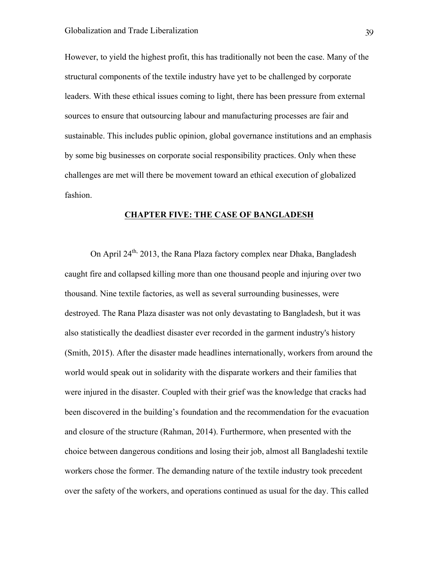However, to yield the highest profit, this has traditionally not been the case. Many of the structural components of the textile industry have yet to be challenged by corporate leaders. With these ethical issues coming to light, there has been pressure from external sources to ensure that outsourcing labour and manufacturing processes are fair and sustainable. This includes public opinion, global governance institutions and an emphasis by some big businesses on corporate social responsibility practices. Only when these challenges are met will there be movement toward an ethical execution of globalized fashion.

### **CHAPTER FIVE: THE CASE OF BANGLADESH**

On April 24<sup>th,</sup> 2013, the Rana Plaza factory complex near Dhaka, Bangladesh caught fire and collapsed killing more than one thousand people and injuring over two thousand. Nine textile factories, as well as several surrounding businesses, were destroyed. The Rana Plaza disaster was not only devastating to Bangladesh, but it was also statistically the deadliest disaster ever recorded in the garment industry's history (Smith, 2015). After the disaster made headlines internationally, workers from around the world would speak out in solidarity with the disparate workers and their families that were injured in the disaster. Coupled with their grief was the knowledge that cracks had been discovered in the building's foundation and the recommendation for the evacuation and closure of the structure (Rahman, 2014). Furthermore, when presented with the choice between dangerous conditions and losing their job, almost all Bangladeshi textile workers chose the former. The demanding nature of the textile industry took precedent over the safety of the workers, and operations continued as usual for the day. This called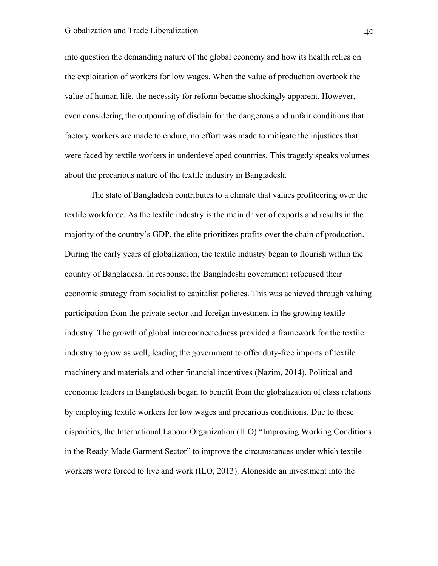into question the demanding nature of the global economy and how its health relies on the exploitation of workers for low wages. When the value of production overtook the value of human life, the necessity for reform became shockingly apparent. However, even considering the outpouring of disdain for the dangerous and unfair conditions that factory workers are made to endure, no effort was made to mitigate the injustices that were faced by textile workers in underdeveloped countries. This tragedy speaks volumes about the precarious nature of the textile industry in Bangladesh.

The state of Bangladesh contributes to a climate that values profiteering over the textile workforce. As the textile industry is the main driver of exports and results in the majority of the country's GDP, the elite prioritizes profits over the chain of production. During the early years of globalization, the textile industry began to flourish within the country of Bangladesh. In response, the Bangladeshi government refocused their economic strategy from socialist to capitalist policies. This was achieved through valuing participation from the private sector and foreign investment in the growing textile industry. The growth of global interconnectedness provided a framework for the textile industry to grow as well, leading the government to offer duty-free imports of textile machinery and materials and other financial incentives (Nazim, 2014). Political and economic leaders in Bangladesh began to benefit from the globalization of class relations by employing textile workers for low wages and precarious conditions. Due to these disparities, the International Labour Organization (ILO) "Improving Working Conditions in the Ready-Made Garment Sector" to improve the circumstances under which textile workers were forced to live and work (ILO, 2013). Alongside an investment into the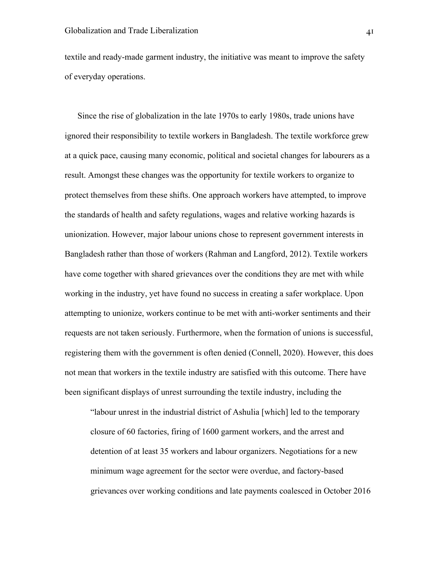textile and ready-made garment industry, the initiative was meant to improve the safety of everyday operations.

Since the rise of globalization in the late 1970s to early 1980s, trade unions have ignored their responsibility to textile workers in Bangladesh. The textile workforce grew at a quick pace, causing many economic, political and societal changes for labourers as a result. Amongst these changes was the opportunity for textile workers to organize to protect themselves from these shifts. One approach workers have attempted, to improve the standards of health and safety regulations, wages and relative working hazards is unionization. However, major labour unions chose to represent government interests in Bangladesh rather than those of workers (Rahman and Langford, 2012). Textile workers have come together with shared grievances over the conditions they are met with while working in the industry, yet have found no success in creating a safer workplace. Upon attempting to unionize, workers continue to be met with anti-worker sentiments and their requests are not taken seriously. Furthermore, when the formation of unions is successful, registering them with the government is often denied (Connell, 2020). However, this does not mean that workers in the textile industry are satisfied with this outcome. There have been significant displays of unrest surrounding the textile industry, including the

"labour unrest in the industrial district of Ashulia [which] led to the temporary closure of 60 factories, firing of 1600 garment workers, and the arrest and detention of at least 35 workers and labour organizers. Negotiations for a new minimum wage agreement for the sector were overdue, and factory-based grievances over working conditions and late payments coalesced in October 2016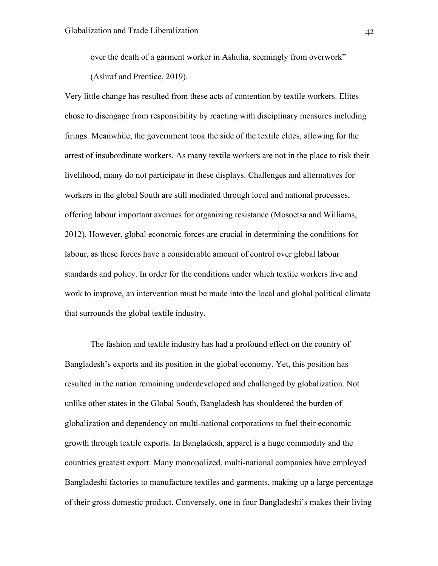over the death of a garment worker in Ashulia, seemingly from overwork" (Ashraf and Prentice, 2019).

Very little change has resulted from these acts of contention by textile workers. Elites chose to disengage from responsibility by reacting with disciplinary measures including firings. Meanwhile, the government took the side of the textile elites, allowing for the arrest of insubordinate workers. As many textile workers are not in the place to risk their livelihood, many do not participate in these displays. Challenges and alternatives for workers in the global South are still mediated through local and national processes, offering labour important avenues for organizing resistance (Mosoetsa and Williams, 2012). However, global economic forces are crucial in determining the conditions for labour, as these forces have a considerable amount of control over global labour standards and policy. In order for the conditions under which textile workers live and work to improve, an intervention must be made into the local and global political climate that surrounds the global textile industry.

The fashion and textile industry has had a profound effect on the country of Bangladesh's exports and its position in the global economy. Yet, this position has resulted in the nation remaining underdeveloped and challenged by globalization. Not unlike other states in the Global South, Bangladesh has shouldered the burden of globalization and dependency on multi-national corporations to fuel their economic growth through textile exports. In Bangladesh, apparel is a huge commodity and the countries greatest export. Many monopolized, multi-national companies have employed Bangladeshi factories to manufacture textiles and garments, making up a large percentage of their gross domestic product. Conversely, one in four Bangladeshi's makes their living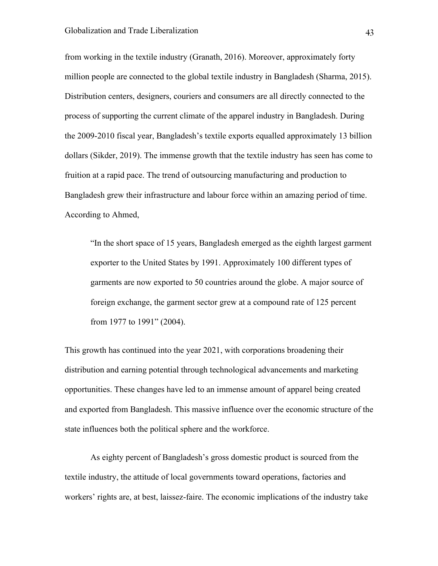from working in the textile industry (Granath, 2016). Moreover, approximately forty million people are connected to the global textile industry in Bangladesh (Sharma, 2015). Distribution centers, designers, couriers and consumers are all directly connected to the process of supporting the current climate of the apparel industry in Bangladesh. During the 2009-2010 fiscal year, Bangladesh's textile exports equalled approximately 13 billion dollars (Sikder, 2019). The immense growth that the textile industry has seen has come to fruition at a rapid pace. The trend of outsourcing manufacturing and production to Bangladesh grew their infrastructure and labour force within an amazing period of time. According to Ahmed,

"In the short space of 15 years, Bangladesh emerged as the eighth largest garment exporter to the United States by 1991. Approximately 100 different types of garments are now exported to 50 countries around the globe. A major source of foreign exchange, the garment sector grew at a compound rate of 125 percent from 1977 to 1991" (2004).

This growth has continued into the year 2021, with corporations broadening their distribution and earning potential through technological advancements and marketing opportunities. These changes have led to an immense amount of apparel being created and exported from Bangladesh. This massive influence over the economic structure of the state influences both the political sphere and the workforce.

As eighty percent of Bangladesh's gross domestic product is sourced from the textile industry, the attitude of local governments toward operations, factories and workers' rights are, at best, laissez-faire. The economic implications of the industry take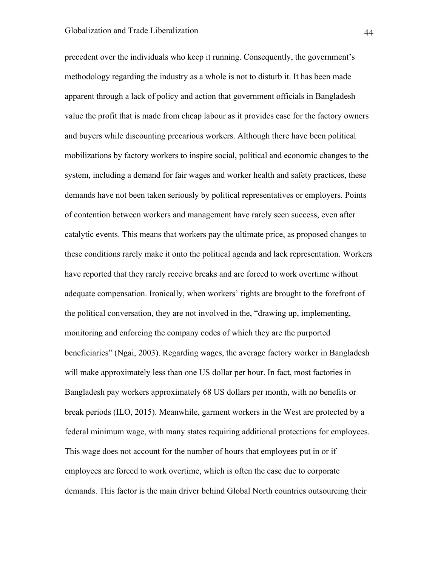precedent over the individuals who keep it running. Consequently, the government's methodology regarding the industry as a whole is not to disturb it. It has been made apparent through a lack of policy and action that government officials in Bangladesh value the profit that is made from cheap labour as it provides ease for the factory owners and buyers while discounting precarious workers. Although there have been political mobilizations by factory workers to inspire social, political and economic changes to the system, including a demand for fair wages and worker health and safety practices, these demands have not been taken seriously by political representatives or employers. Points of contention between workers and management have rarely seen success, even after catalytic events. This means that workers pay the ultimate price, as proposed changes to these conditions rarely make it onto the political agenda and lack representation. Workers have reported that they rarely receive breaks and are forced to work overtime without adequate compensation. Ironically, when workers' rights are brought to the forefront of the political conversation, they are not involved in the, "drawing up, implementing, monitoring and enforcing the company codes of which they are the purported beneficiaries" (Ngai, 2003). Regarding wages, the average factory worker in Bangladesh will make approximately less than one US dollar per hour. In fact, most factories in Bangladesh pay workers approximately 68 US dollars per month, with no benefits or break periods (ILO, 2015). Meanwhile, garment workers in the West are protected by a federal minimum wage, with many states requiring additional protections for employees. This wage does not account for the number of hours that employees put in or if employees are forced to work overtime, which is often the case due to corporate demands. This factor is the main driver behind Global North countries outsourcing their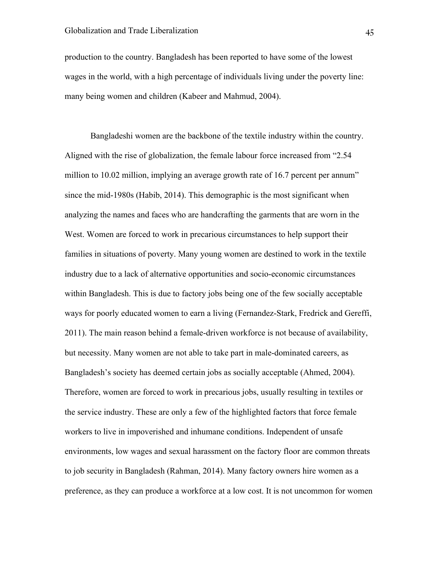production to the country. Bangladesh has been reported to have some of the lowest wages in the world, with a high percentage of individuals living under the poverty line: many being women and children (Kabeer and Mahmud, 2004).

Bangladeshi women are the backbone of the textile industry within the country. Aligned with the rise of globalization, the female labour force increased from "2.54 million to 10.02 million, implying an average growth rate of 16.7 percent per annum" since the mid-1980s (Habib, 2014). This demographic is the most significant when analyzing the names and faces who are handcrafting the garments that are worn in the West. Women are forced to work in precarious circumstances to help support their families in situations of poverty. Many young women are destined to work in the textile industry due to a lack of alternative opportunities and socio-economic circumstances within Bangladesh. This is due to factory jobs being one of the few socially acceptable ways for poorly educated women to earn a living (Fernandez-Stark, Fredrick and Gereffi, 2011). The main reason behind a female-driven workforce is not because of availability, but necessity. Many women are not able to take part in male-dominated careers, as Bangladesh's society has deemed certain jobs as socially acceptable (Ahmed, 2004). Therefore, women are forced to work in precarious jobs, usually resulting in textiles or the service industry. These are only a few of the highlighted factors that force female workers to live in impoverished and inhumane conditions. Independent of unsafe environments, low wages and sexual harassment on the factory floor are common threats to job security in Bangladesh (Rahman, 2014). Many factory owners hire women as a preference, as they can produce a workforce at a low cost. It is not uncommon for women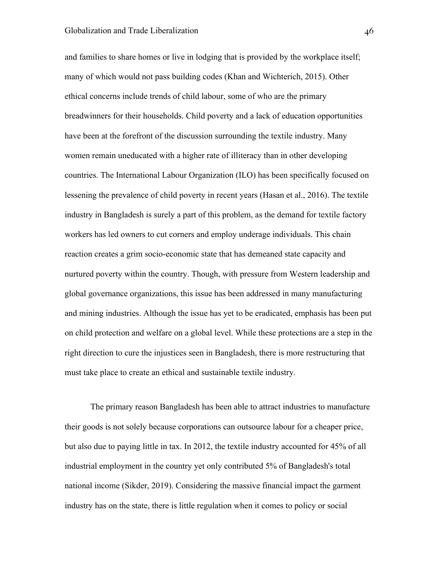and families to share homes or live in lodging that is provided by the workplace itself; many of which would not pass building codes (Khan and Wichterich, 2015). Other ethical concerns include trends of child labour, some of who are the primary breadwinners for their households. Child poverty and a lack of education opportunities have been at the forefront of the discussion surrounding the textile industry. Many women remain uneducated with a higher rate of illiteracy than in other developing countries. The International Labour Organization (ILO) has been specifically focused on lessening the prevalence of child poverty in recent years (Hasan et al., 2016). The textile industry in Bangladesh is surely a part of this problem, as the demand for textile factory workers has led owners to cut corners and employ underage individuals. This chain reaction creates a grim socio-economic state that has demeaned state capacity and nurtured poverty within the country. Though, with pressure from Western leadership and global governance organizations, this issue has been addressed in many manufacturing and mining industries. Although the issue has yet to be eradicated, emphasis has been put on child protection and welfare on a global level. While these protections are a step in the right direction to cure the injustices seen in Bangladesh, there is more restructuring that must take place to create an ethical and sustainable textile industry.

The primary reason Bangladesh has been able to attract industries to manufacture their goods is not solely because corporations can outsource labour for a cheaper price, but also due to paying little in tax. In 2012, the textile industry accounted for 45% of all industrial employment in the country yet only contributed 5% of Bangladesh's total national income (Sikder, 2019). Considering the massive financial impact the garment industry has on the state, there is little regulation when it comes to policy or social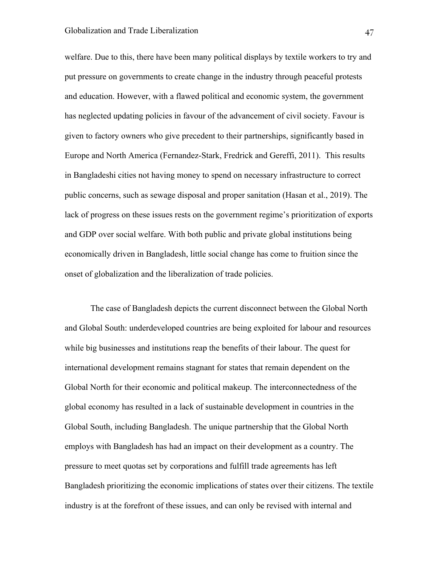welfare. Due to this, there have been many political displays by textile workers to try and put pressure on governments to create change in the industry through peaceful protests and education. However, with a flawed political and economic system, the government has neglected updating policies in favour of the advancement of civil society. Favour is given to factory owners who give precedent to their partnerships, significantly based in Europe and North America (Fernandez-Stark, Fredrick and Gereffi, 2011). This results in Bangladeshi cities not having money to spend on necessary infrastructure to correct public concerns, such as sewage disposal and proper sanitation (Hasan et al., 2019). The lack of progress on these issues rests on the government regime's prioritization of exports and GDP over social welfare. With both public and private global institutions being economically driven in Bangladesh, little social change has come to fruition since the onset of globalization and the liberalization of trade policies.

The case of Bangladesh depicts the current disconnect between the Global North and Global South: underdeveloped countries are being exploited for labour and resources while big businesses and institutions reap the benefits of their labour. The quest for international development remains stagnant for states that remain dependent on the Global North for their economic and political makeup. The interconnectedness of the global economy has resulted in a lack of sustainable development in countries in the Global South, including Bangladesh. The unique partnership that the Global North employs with Bangladesh has had an impact on their development as a country. The pressure to meet quotas set by corporations and fulfill trade agreements has left Bangladesh prioritizing the economic implications of states over their citizens. The textile industry is at the forefront of these issues, and can only be revised with internal and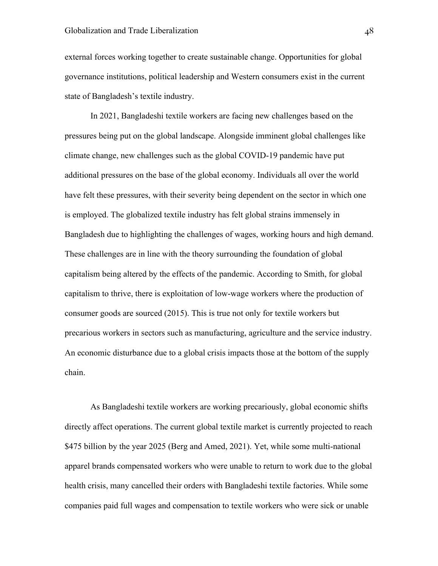external forces working together to create sustainable change. Opportunities for global governance institutions, political leadership and Western consumers exist in the current state of Bangladesh's textile industry.

In 2021, Bangladeshi textile workers are facing new challenges based on the pressures being put on the global landscape. Alongside imminent global challenges like climate change, new challenges such as the global COVID-19 pandemic have put additional pressures on the base of the global economy. Individuals all over the world have felt these pressures, with their severity being dependent on the sector in which one is employed. The globalized textile industry has felt global strains immensely in Bangladesh due to highlighting the challenges of wages, working hours and high demand. These challenges are in line with the theory surrounding the foundation of global capitalism being altered by the effects of the pandemic. According to Smith, for global capitalism to thrive, there is exploitation of low-wage workers where the production of consumer goods are sourced (2015). This is true not only for textile workers but precarious workers in sectors such as manufacturing, agriculture and the service industry. An economic disturbance due to a global crisis impacts those at the bottom of the supply chain.

As Bangladeshi textile workers are working precariously, global economic shifts directly affect operations. The current global textile market is currently projected to reach \$475 billion by the year 2025 (Berg and Amed, 2021). Yet, while some multi-national apparel brands compensated workers who were unable to return to work due to the global health crisis, many cancelled their orders with Bangladeshi textile factories. While some companies paid full wages and compensation to textile workers who were sick or unable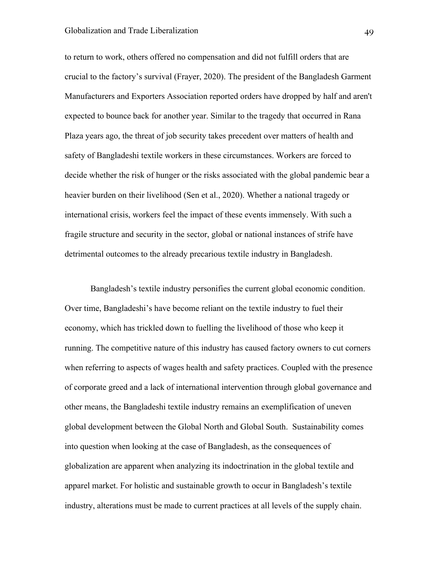## Globalization and Trade Liberalization 49

to return to work, others offered no compensation and did not fulfill orders that are crucial to the factory's survival (Frayer, 2020). The president of the Bangladesh Garment Manufacturers and Exporters Association reported orders have dropped by half and aren't expected to bounce back for another year. Similar to the tragedy that occurred in Rana Plaza years ago, the threat of job security takes precedent over matters of health and safety of Bangladeshi textile workers in these circumstances. Workers are forced to decide whether the risk of hunger or the risks associated with the global pandemic bear a heavier burden on their livelihood (Sen et al., 2020). Whether a national tragedy or international crisis, workers feel the impact of these events immensely. With such a fragile structure and security in the sector, global or national instances of strife have detrimental outcomes to the already precarious textile industry in Bangladesh.

Bangladesh's textile industry personifies the current global economic condition. Over time, Bangladeshi's have become reliant on the textile industry to fuel their economy, which has trickled down to fuelling the livelihood of those who keep it running. The competitive nature of this industry has caused factory owners to cut corners when referring to aspects of wages health and safety practices. Coupled with the presence of corporate greed and a lack of international intervention through global governance and other means, the Bangladeshi textile industry remains an exemplification of uneven global development between the Global North and Global South. Sustainability comes into question when looking at the case of Bangladesh, as the consequences of globalization are apparent when analyzing its indoctrination in the global textile and apparel market. For holistic and sustainable growth to occur in Bangladesh's textile industry, alterations must be made to current practices at all levels of the supply chain.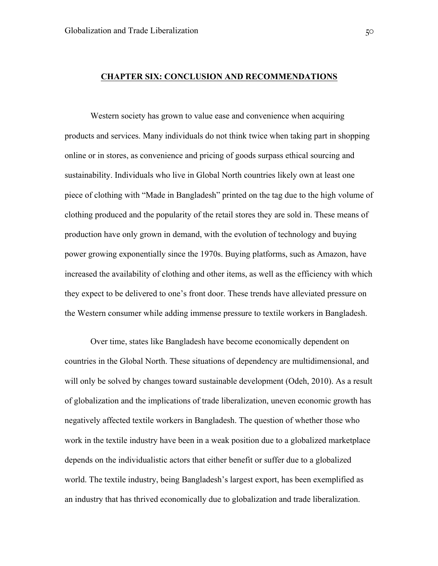### **CHAPTER SIX: CONCLUSION AND RECOMMENDATIONS**

Western society has grown to value ease and convenience when acquiring products and services. Many individuals do not think twice when taking part in shopping online or in stores, as convenience and pricing of goods surpass ethical sourcing and sustainability. Individuals who live in Global North countries likely own at least one piece of clothing with "Made in Bangladesh" printed on the tag due to the high volume of clothing produced and the popularity of the retail stores they are sold in. These means of production have only grown in demand, with the evolution of technology and buying power growing exponentially since the 1970s. Buying platforms, such as Amazon, have increased the availability of clothing and other items, as well as the efficiency with which they expect to be delivered to one's front door. These trends have alleviated pressure on the Western consumer while adding immense pressure to textile workers in Bangladesh.

Over time, states like Bangladesh have become economically dependent on countries in the Global North. These situations of dependency are multidimensional, and will only be solved by changes toward sustainable development (Odeh, 2010). As a result of globalization and the implications of trade liberalization, uneven economic growth has negatively affected textile workers in Bangladesh. The question of whether those who work in the textile industry have been in a weak position due to a globalized marketplace depends on the individualistic actors that either benefit or suffer due to a globalized world. The textile industry, being Bangladesh's largest export, has been exemplified as an industry that has thrived economically due to globalization and trade liberalization.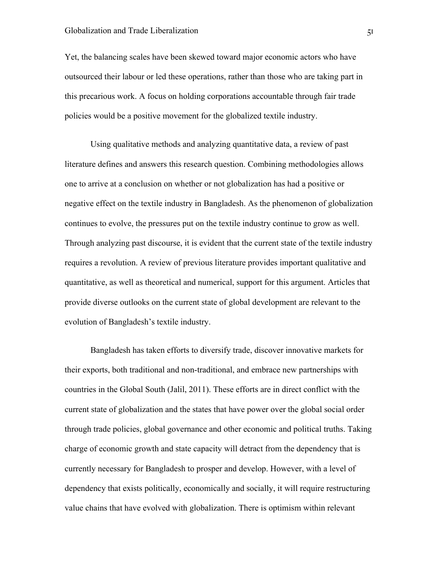Yet, the balancing scales have been skewed toward major economic actors who have outsourced their labour or led these operations, rather than those who are taking part in this precarious work. A focus on holding corporations accountable through fair trade policies would be a positive movement for the globalized textile industry.

Using qualitative methods and analyzing quantitative data, a review of past literature defines and answers this research question. Combining methodologies allows one to arrive at a conclusion on whether or not globalization has had a positive or negative effect on the textile industry in Bangladesh. As the phenomenon of globalization continues to evolve, the pressures put on the textile industry continue to grow as well. Through analyzing past discourse, it is evident that the current state of the textile industry requires a revolution. A review of previous literature provides important qualitative and quantitative, as well as theoretical and numerical, support for this argument. Articles that provide diverse outlooks on the current state of global development are relevant to the evolution of Bangladesh's textile industry.

Bangladesh has taken efforts to diversify trade, discover innovative markets for their exports, both traditional and non-traditional, and embrace new partnerships with countries in the Global South (Jalil, 2011). These efforts are in direct conflict with the current state of globalization and the states that have power over the global social order through trade policies, global governance and other economic and political truths. Taking charge of economic growth and state capacity will detract from the dependency that is currently necessary for Bangladesh to prosper and develop. However, with a level of dependency that exists politically, economically and socially, it will require restructuring value chains that have evolved with globalization. There is optimism within relevant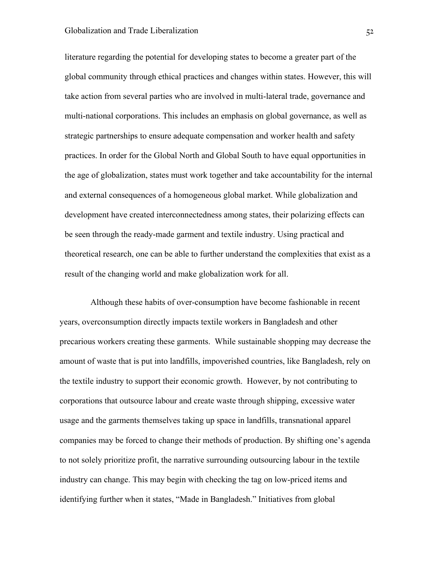## Globalization and Trade Liberalization 52

literature regarding the potential for developing states to become a greater part of the global community through ethical practices and changes within states. However, this will take action from several parties who are involved in multi-lateral trade, governance and multi-national corporations. This includes an emphasis on global governance, as well as strategic partnerships to ensure adequate compensation and worker health and safety practices. In order for the Global North and Global South to have equal opportunities in the age of globalization, states must work together and take accountability for the internal and external consequences of a homogeneous global market. While globalization and development have created interconnectedness among states, their polarizing effects can be seen through the ready-made garment and textile industry. Using practical and theoretical research, one can be able to further understand the complexities that exist as a result of the changing world and make globalization work for all.

Although these habits of over-consumption have become fashionable in recent years, overconsumption directly impacts textile workers in Bangladesh and other precarious workers creating these garments. While sustainable shopping may decrease the amount of waste that is put into landfills, impoverished countries, like Bangladesh, rely on the textile industry to support their economic growth. However, by not contributing to corporations that outsource labour and create waste through shipping, excessive water usage and the garments themselves taking up space in landfills, transnational apparel companies may be forced to change their methods of production. By shifting one's agenda to not solely prioritize profit, the narrative surrounding outsourcing labour in the textile industry can change. This may begin with checking the tag on low-priced items and identifying further when it states, "Made in Bangladesh." Initiatives from global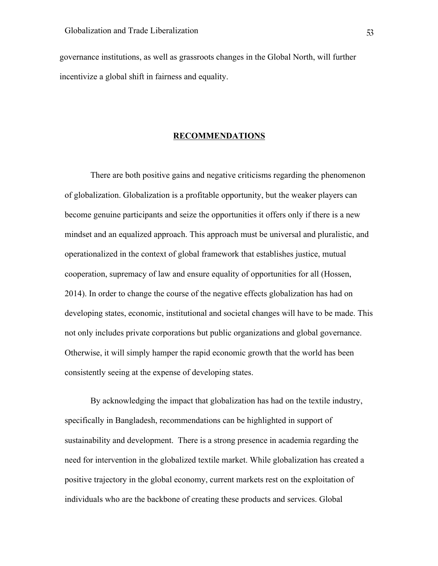governance institutions, as well as grassroots changes in the Global North, will further incentivize a global shift in fairness and equality.

#### **RECOMMENDATIONS**

There are both positive gains and negative criticisms regarding the phenomenon of globalization. Globalization is a profitable opportunity, but the weaker players can become genuine participants and seize the opportunities it offers only if there is a new mindset and an equalized approach. This approach must be universal and pluralistic, and operationalized in the context of global framework that establishes justice, mutual cooperation, supremacy of law and ensure equality of opportunities for all (Hossen, 2014). In order to change the course of the negative effects globalization has had on developing states, economic, institutional and societal changes will have to be made. This not only includes private corporations but public organizations and global governance. Otherwise, it will simply hamper the rapid economic growth that the world has been consistently seeing at the expense of developing states.

By acknowledging the impact that globalization has had on the textile industry, specifically in Bangladesh, recommendations can be highlighted in support of sustainability and development. There is a strong presence in academia regarding the need for intervention in the globalized textile market. While globalization has created a positive trajectory in the global economy, current markets rest on the exploitation of individuals who are the backbone of creating these products and services. Global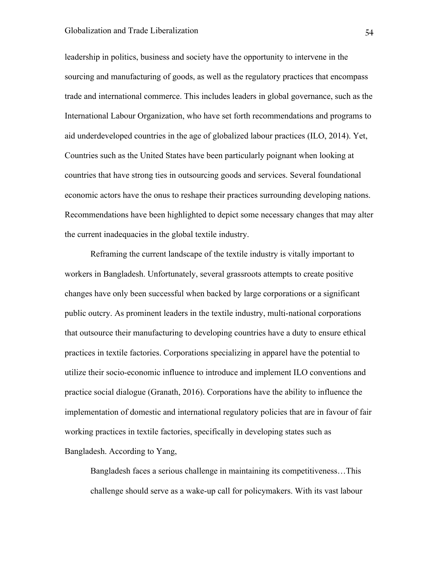# Globalization and Trade Liberalization 54

leadership in politics, business and society have the opportunity to intervene in the sourcing and manufacturing of goods, as well as the regulatory practices that encompass trade and international commerce. This includes leaders in global governance, such as the International Labour Organization, who have set forth recommendations and programs to aid underdeveloped countries in the age of globalized labour practices (ILO, 2014). Yet, Countries such as the United States have been particularly poignant when looking at countries that have strong ties in outsourcing goods and services. Several foundational economic actors have the onus to reshape their practices surrounding developing nations. Recommendations have been highlighted to depict some necessary changes that may alter the current inadequacies in the global textile industry.

Reframing the current landscape of the textile industry is vitally important to workers in Bangladesh. Unfortunately, several grassroots attempts to create positive changes have only been successful when backed by large corporations or a significant public outcry. As prominent leaders in the textile industry, multi-national corporations that outsource their manufacturing to developing countries have a duty to ensure ethical practices in textile factories. Corporations specializing in apparel have the potential to utilize their socio-economic influence to introduce and implement ILO conventions and practice social dialogue (Granath, 2016). Corporations have the ability to influence the implementation of domestic and international regulatory policies that are in favour of fair working practices in textile factories, specifically in developing states such as Bangladesh. According to Yang,

Bangladesh faces a serious challenge in maintaining its competitiveness…This challenge should serve as a wake-up call for policymakers. With its vast labour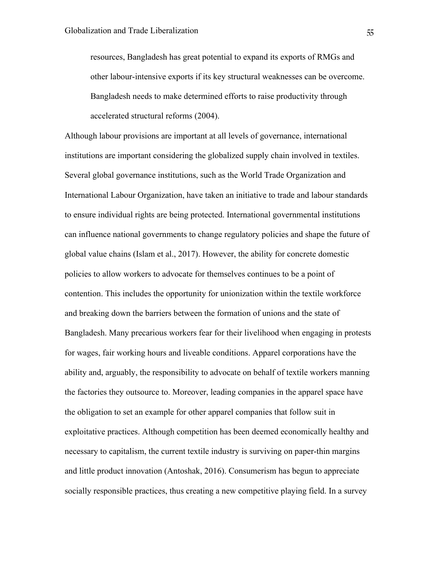resources, Bangladesh has great potential to expand its exports of RMGs and other labour-intensive exports if its key structural weaknesses can be overcome. Bangladesh needs to make determined efforts to raise productivity through accelerated structural reforms (2004).

Although labour provisions are important at all levels of governance, international institutions are important considering the globalized supply chain involved in textiles. Several global governance institutions, such as the World Trade Organization and International Labour Organization, have taken an initiative to trade and labour standards to ensure individual rights are being protected. International governmental institutions can influence national governments to change regulatory policies and shape the future of global value chains (Islam et al., 2017). However, the ability for concrete domestic policies to allow workers to advocate for themselves continues to be a point of contention. This includes the opportunity for unionization within the textile workforce and breaking down the barriers between the formation of unions and the state of Bangladesh. Many precarious workers fear for their livelihood when engaging in protests for wages, fair working hours and liveable conditions. Apparel corporations have the ability and, arguably, the responsibility to advocate on behalf of textile workers manning the factories they outsource to. Moreover, leading companies in the apparel space have the obligation to set an example for other apparel companies that follow suit in exploitative practices. Although competition has been deemed economically healthy and necessary to capitalism, the current textile industry is surviving on paper-thin margins and little product innovation (Antoshak, 2016). Consumerism has begun to appreciate socially responsible practices, thus creating a new competitive playing field. In a survey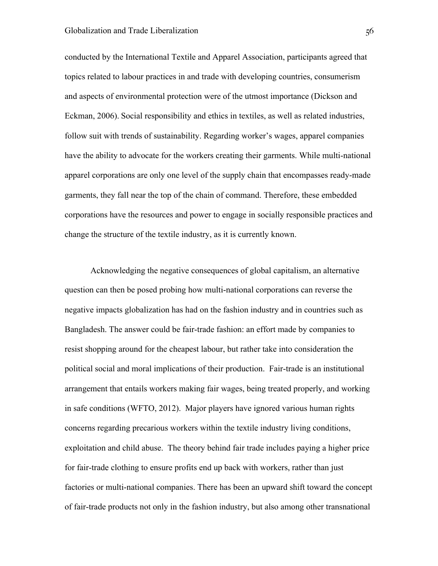conducted by the International Textile and Apparel Association, participants agreed that topics related to labour practices in and trade with developing countries, consumerism and aspects of environmental protection were of the utmost importance (Dickson and Eckman, 2006). Social responsibility and ethics in textiles, as well as related industries, follow suit with trends of sustainability. Regarding worker's wages, apparel companies have the ability to advocate for the workers creating their garments. While multi-national apparel corporations are only one level of the supply chain that encompasses ready-made garments, they fall near the top of the chain of command. Therefore, these embedded corporations have the resources and power to engage in socially responsible practices and change the structure of the textile industry, as it is currently known.

Acknowledging the negative consequences of global capitalism, an alternative question can then be posed probing how multi-national corporations can reverse the negative impacts globalization has had on the fashion industry and in countries such as Bangladesh. The answer could be fair-trade fashion: an effort made by companies to resist shopping around for the cheapest labour, but rather take into consideration the political social and moral implications of their production. Fair-trade is an institutional arrangement that entails workers making fair wages, being treated properly, and working in safe conditions (WFTO, 2012). Major players have ignored various human rights concerns regarding precarious workers within the textile industry living conditions, exploitation and child abuse. The theory behind fair trade includes paying a higher price for fair-trade clothing to ensure profits end up back with workers, rather than just factories or multi-national companies. There has been an upward shift toward the concept of fair-trade products not only in the fashion industry, but also among other transnational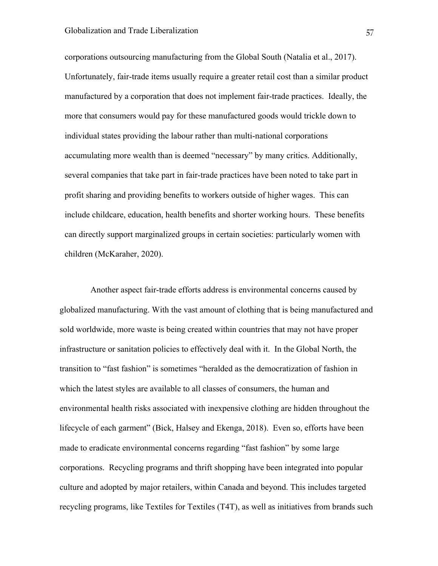corporations outsourcing manufacturing from the Global South (Natalia et al., 2017). Unfortunately, fair-trade items usually require a greater retail cost than a similar product manufactured by a corporation that does not implement fair-trade practices. Ideally, the more that consumers would pay for these manufactured goods would trickle down to individual states providing the labour rather than multi-national corporations accumulating more wealth than is deemed "necessary" by many critics. Additionally, several companies that take part in fair-trade practices have been noted to take part in profit sharing and providing benefits to workers outside of higher wages. This can include childcare, education, health benefits and shorter working hours. These benefits can directly support marginalized groups in certain societies: particularly women with children (McKaraher, 2020).

Another aspect fair-trade efforts address is environmental concerns caused by globalized manufacturing. With the vast amount of clothing that is being manufactured and sold worldwide, more waste is being created within countries that may not have proper infrastructure or sanitation policies to effectively deal with it. In the Global North, the transition to "fast fashion" is sometimes "heralded as the democratization of fashion in which the latest styles are available to all classes of consumers, the human and environmental health risks associated with inexpensive clothing are hidden throughout the lifecycle of each garment" (Bick, Halsey and Ekenga, 2018). Even so, efforts have been made to eradicate environmental concerns regarding "fast fashion" by some large corporations. Recycling programs and thrift shopping have been integrated into popular culture and adopted by major retailers, within Canada and beyond. This includes targeted recycling programs, like Textiles for Textiles (T4T), as well as initiatives from brands such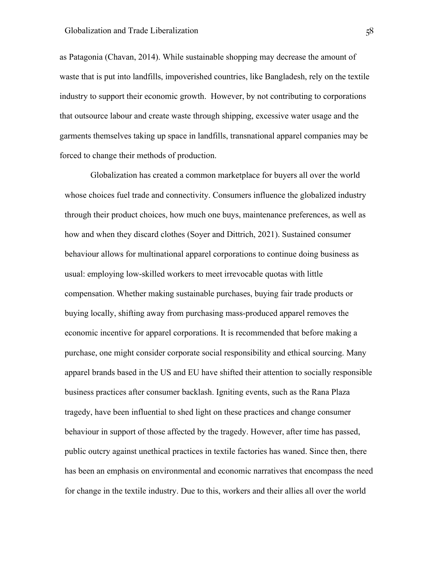as Patagonia (Chavan, 2014). While sustainable shopping may decrease the amount of waste that is put into landfills, impoverished countries, like Bangladesh, rely on the textile industry to support their economic growth. However, by not contributing to corporations that outsource labour and create waste through shipping, excessive water usage and the garments themselves taking up space in landfills, transnational apparel companies may be forced to change their methods of production.

Globalization has created a common marketplace for buyers all over the world whose choices fuel trade and connectivity. Consumers influence the globalized industry through their product choices, how much one buys, maintenance preferences, as well as how and when they discard clothes (Soyer and Dittrich, 2021). Sustained consumer behaviour allows for multinational apparel corporations to continue doing business as usual: employing low-skilled workers to meet irrevocable quotas with little compensation. Whether making sustainable purchases, buying fair trade products or buying locally, shifting away from purchasing mass-produced apparel removes the economic incentive for apparel corporations. It is recommended that before making a purchase, one might consider corporate social responsibility and ethical sourcing. Many apparel brands based in the US and EU have shifted their attention to socially responsible business practices after consumer backlash. Igniting events, such as the Rana Plaza tragedy, have been influential to shed light on these practices and change consumer behaviour in support of those affected by the tragedy. However, after time has passed, public outcry against unethical practices in textile factories has waned. Since then, there has been an emphasis on environmental and economic narratives that encompass the need for change in the textile industry. Due to this, workers and their allies all over the world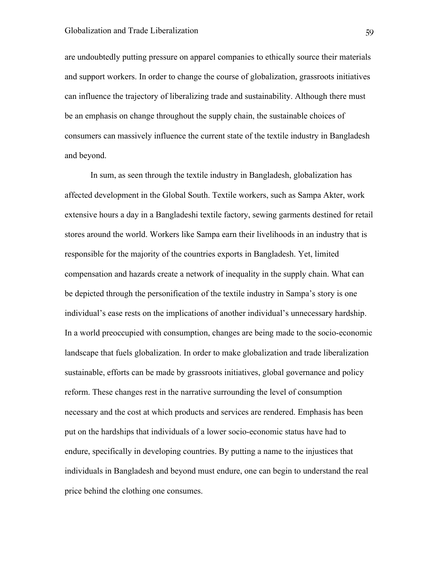are undoubtedly putting pressure on apparel companies to ethically source their materials and support workers. In order to change the course of globalization, grassroots initiatives can influence the trajectory of liberalizing trade and sustainability. Although there must be an emphasis on change throughout the supply chain, the sustainable choices of consumers can massively influence the current state of the textile industry in Bangladesh and beyond.

In sum, as seen through the textile industry in Bangladesh, globalization has affected development in the Global South. Textile workers, such as Sampa Akter, work extensive hours a day in a Bangladeshi textile factory, sewing garments destined for retail stores around the world. Workers like Sampa earn their livelihoods in an industry that is responsible for the majority of the countries exports in Bangladesh. Yet, limited compensation and hazards create a network of inequality in the supply chain. What can be depicted through the personification of the textile industry in Sampa's story is one individual's ease rests on the implications of another individual's unnecessary hardship. In a world preoccupied with consumption, changes are being made to the socio-economic landscape that fuels globalization. In order to make globalization and trade liberalization sustainable, efforts can be made by grassroots initiatives, global governance and policy reform. These changes rest in the narrative surrounding the level of consumption necessary and the cost at which products and services are rendered. Emphasis has been put on the hardships that individuals of a lower socio-economic status have had to endure, specifically in developing countries. By putting a name to the injustices that individuals in Bangladesh and beyond must endure, one can begin to understand the real price behind the clothing one consumes.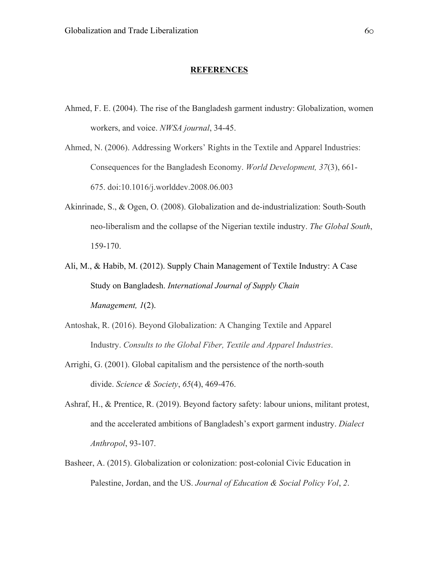#### **REFERENCES**

Ahmed, F. E. (2004). The rise of the Bangladesh garment industry: Globalization, women workers, and voice. *NWSA journal*, 34-45.

Ahmed, N. (2006). Addressing Workers' Rights in the Textile and Apparel Industries: Consequences for the Bangladesh Economy. *World Development, 37*(3), 661- 675. doi:10.1016/j.worlddev.2008.06.003

- Akinrinade, S., & Ogen, O. (2008). Globalization and de-industrialization: South-South neo-liberalism and the collapse of the Nigerian textile industry. *The Global South*, 159-170.
- Ali, M., & Habib, M. (2012). Supply Chain Management of Textile Industry: A Case Study on Bangladesh. *International Journal of Supply Chain Management, 1*(2).
- Antoshak, R. (2016). Beyond Globalization: A Changing Textile and Apparel Industry. *Consults to the Global Fiber, Textile and Apparel Industries*.
- Arrighi, G. (2001). Global capitalism and the persistence of the north-south divide. *Science & Society*, *65*(4), 469-476.
- Ashraf, H., & Prentice, R. (2019). Beyond factory safety: labour unions, militant protest, and the accelerated ambitions of Bangladesh's export garment industry. *Dialect Anthropol*, 93-107.
- Basheer, A. (2015). Globalization or colonization: post-colonial Civic Education in Palestine, Jordan, and the US. *Journal of Education & Social Policy Vol*, *2*.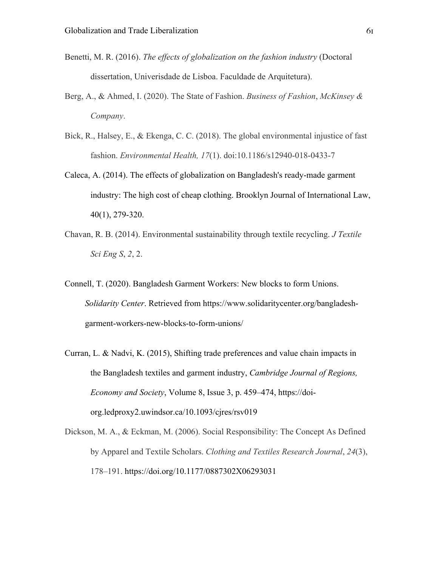- Benetti, M. R. (2016). *The effects of globalization on the fashion industry* (Doctoral dissertation, Univerisdade de Lisboa. Faculdade de Arquitetura).
- Berg, A., & Ahmed, I. (2020). The State of Fashion. *Business of Fashion*, *McKinsey & Company*.
- Bick, R., Halsey, E., & Ekenga, C. C. (2018). The global environmental injustice of fast fashion. *Environmental Health, 17*(1). doi:10.1186/s12940-018-0433-7
- Caleca, A. (2014). The effects of globalization on Bangladesh's ready-made garment industry: The high cost of cheap clothing. Brooklyn Journal of International Law, 40(1), 279-320.
- Chavan, R. B. (2014). Environmental sustainability through textile recycling. *J Textile Sci Eng S*, *2*, 2.
- Connell, T. (2020). Bangladesh Garment Workers: New blocks to form Unions. *Solidarity Center*. Retrieved from https://www.solidaritycenter.org/bangladeshgarment-workers-new-blocks-to-form-unions/
- Curran, L. & Nadvi, K. (2015), Shifting trade preferences and value chain impacts in the Bangladesh textiles and garment industry, *Cambridge Journal of Regions, Economy and Society*, Volume 8, Issue 3, p. 459–474, https://doiorg.ledproxy2.uwindsor.ca/10.1093/cjres/rsv019
- Dickson, M. A., & Eckman, M. (2006). Social Responsibility: The Concept As Defined by Apparel and Textile Scholars. *Clothing and Textiles Research Journal*, *24*(3), 178–191. https://doi.org/10.1177/0887302X06293031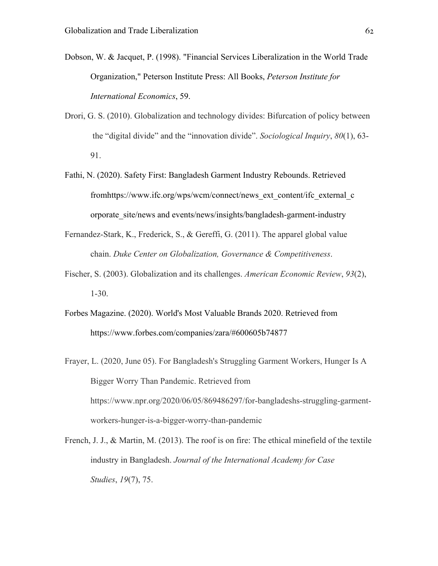- Dobson, W. & Jacquet, P. (1998). "Financial Services Liberalization in the World Trade Organization," Peterson Institute Press: All Books, *Peterson Institute for International Economics*, 59.
- Drori, G. S. (2010). Globalization and technology divides: Bifurcation of policy between the "digital divide" and the "innovation divide". *Sociological Inquiry*, *80*(1), 63- 91.
- Fathi, N. (2020). Safety First: Bangladesh Garment Industry Rebounds. Retrieved fromhttps://www.ifc.org/wps/wcm/connect/news\_ext\_content/ifc\_external\_c orporate\_site/news and events/news/insights/bangladesh-garment-industry
- Fernandez-Stark, K., Frederick, S., & Gereffi, G. (2011). The apparel global value chain. *Duke Center on Globalization, Governance & Competitiveness*.
- Fischer, S. (2003). Globalization and its challenges. *American Economic Review*, *93*(2), 1-30.
- Forbes Magazine. (2020). World's Most Valuable Brands 2020. Retrieved from https://www.forbes.com/companies/zara/#600605b74877
- Frayer, L. (2020, June 05). For Bangladesh's Struggling Garment Workers, Hunger Is A Bigger Worry Than Pandemic. Retrieved from https://www.npr.org/2020/06/05/869486297/for-bangladeshs-struggling-garmentworkers-hunger-is-a-bigger-worry-than-pandemic
- French, J. J., & Martin, M. (2013). The roof is on fire: The ethical minefield of the textile industry in Bangladesh. *Journal of the International Academy for Case Studies*, *19*(7), 75.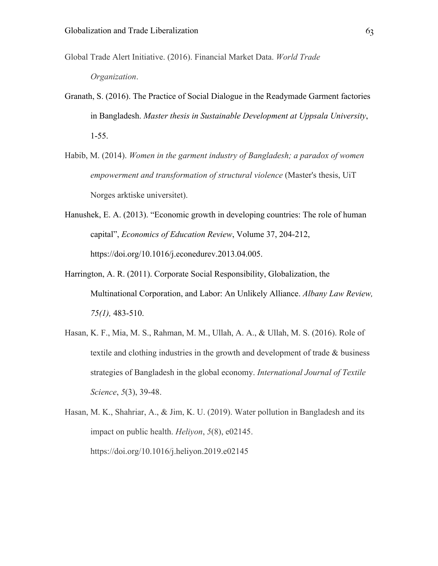- Global Trade Alert Initiative. (2016). Financial Market Data. *World Trade Organization*.
- Granath, S. (2016). The Practice of Social Dialogue in the Readymade Garment factories in Bangladesh. *Master thesis in Sustainable Development at Uppsala University*, 1-55.
- Habib, M. (2014). *Women in the garment industry of Bangladesh; a paradox of women empowerment and transformation of structural violence* (Master's thesis, UiT Norges arktiske universitet).
- Hanushek, E. A. (2013). "Economic growth in developing countries: The role of human capital", *Economics of Education Review*, Volume 37, 204-212, https://doi.org/10.1016/j.econedurev.2013.04.005.
- Harrington, A. R. (2011). Corporate Social Responsibility, Globalization, the Multinational Corporation, and Labor: An Unlikely Alliance. *Albany Law Review, 75(1),* 483-510.
- Hasan, K. F., Mia, M. S., Rahman, M. M., Ullah, A. A., & Ullah, M. S. (2016). Role of textile and clothing industries in the growth and development of trade & business strategies of Bangladesh in the global economy. *International Journal of Textile Science*, *5*(3), 39-48.
- Hasan, M. K., Shahriar, A., & Jim, K. U. (2019). Water pollution in Bangladesh and its impact on public health. *Heliyon*, *5*(8), e02145. https://doi.org/10.1016/j.heliyon.2019.e02145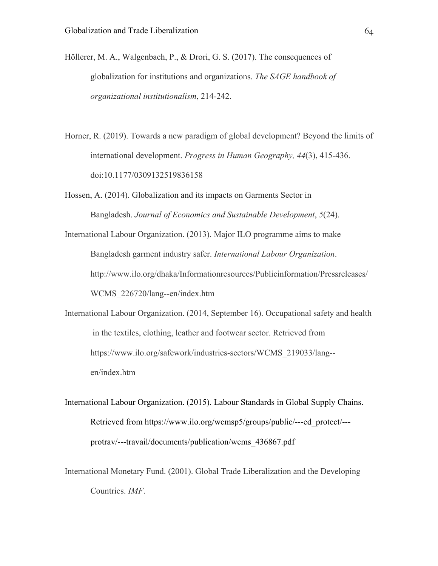- Höllerer, M. A., Walgenbach, P., & Drori, G. S. (2017). The consequences of globalization for institutions and organizations. *The SAGE handbook of organizational institutionalism*, 214-242.
- Horner, R. (2019). Towards a new paradigm of global development? Beyond the limits of international development. *Progress in Human Geography, 44*(3), 415-436. doi:10.1177/0309132519836158
- Hossen, A. (2014). Globalization and its impacts on Garments Sector in Bangladesh. *Journal of Economics and Sustainable Development*, *5*(24).

International Labour Organization. (2013). Major ILO programme aims to make Bangladesh garment industry safer. *International Labour Organization*. http://www.ilo.org/dhaka/Informationresources/Publicinformation/Pressreleases/ WCMS\_226720/lang--en/index.htm

- International Labour Organization. (2014, September 16). Occupational safety and health in the textiles, clothing, leather and footwear sector. Retrieved from https://www.ilo.org/safework/industries-sectors/WCMS\_219033/lang- en/index.htm
- International Labour Organization. (2015). Labour Standards in Global Supply Chains. Retrieved from https://www.ilo.org/wcmsp5/groups/public/---ed\_protect/-- protrav/---travail/documents/publication/wcms\_436867.pdf
- International Monetary Fund. (2001). Global Trade Liberalization and the Developing Countries. *IMF*.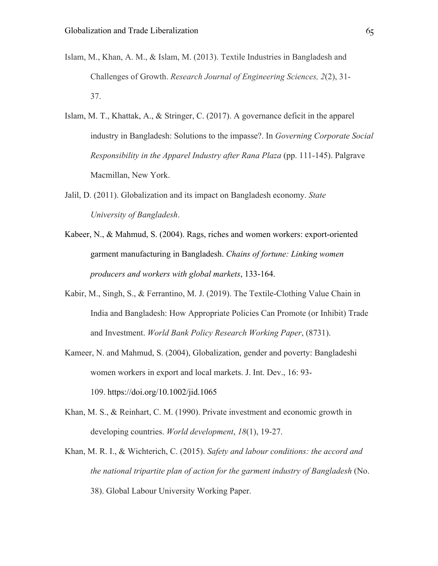- Islam, M., Khan, A. M., & Islam, M. (2013). Textile Industries in Bangladesh and Challenges of Growth. *Research Journal of Engineering Sciences, 2*(2), 31- 37.
- Islam, M. T., Khattak, A., & Stringer, C. (2017). A governance deficit in the apparel industry in Bangladesh: Solutions to the impasse?. In *Governing Corporate Social Responsibility in the Apparel Industry after Rana Plaza* (pp. 111-145). Palgrave Macmillan, New York.
- Jalil, D. (2011). Globalization and its impact on Bangladesh economy. *State University of Bangladesh*.
- Kabeer, N., & Mahmud, S. (2004). Rags, riches and women workers: export-oriented garment manufacturing in Bangladesh. *Chains of fortune: Linking women producers and workers with global markets*, 133-164.
- Kabir, M., Singh, S., & Ferrantino, M. J. (2019). The Textile-Clothing Value Chain in India and Bangladesh: How Appropriate Policies Can Promote (or Inhibit) Trade and Investment. *World Bank Policy Research Working Paper*, (8731).
- Kameer, N. and Mahmud, S. (2004), Globalization, gender and poverty: Bangladeshi women workers in export and local markets. J. Int. Dev., 16: 93- 109. https://doi.org/10.1002/jid.1065
- Khan, M. S., & Reinhart, C. M. (1990). Private investment and economic growth in developing countries. *World development*, *18*(1), 19-27.
- Khan, M. R. I., & Wichterich, C. (2015). *Safety and labour conditions: the accord and the national tripartite plan of action for the garment industry of Bangladesh* (No. 38). Global Labour University Working Paper.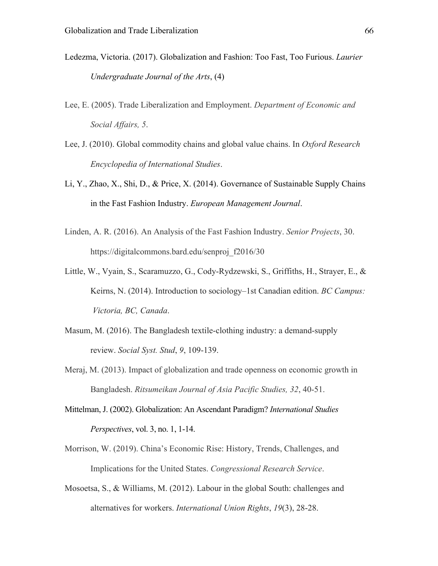- Ledezma, Victoria. (2017). Globalization and Fashion: Too Fast, Too Furious. *Laurier Undergraduate Journal of the Arts*, (4)
- Lee, E. (2005). Trade Liberalization and Employment. *Department of Economic and Social Affairs, 5*.
- Lee, J. (2010). Global commodity chains and global value chains. In *Oxford Research Encyclopedia of International Studies*.
- Li, Y., Zhao, X., Shi, D., & Price, X. (2014). Governance of Sustainable Supply Chains in the Fast Fashion Industry. *European Management Journal*.
- Linden, A. R. (2016). An Analysis of the Fast Fashion Industry. *Senior Projects*, 30. https://digitalcommons.bard.edu/senproj\_f2016/30
- Little, W., Vyain, S., Scaramuzzo, G., Cody-Rydzewski, S., Griffiths, H., Strayer, E., & Keirns, N. (2014). Introduction to sociology–1st Canadian edition. *BC Campus: Victoria, BC, Canada*.
- Masum, M. (2016). The Bangladesh textile-clothing industry: a demand-supply review. *Social Syst. Stud*, *9*, 109-139.
- Meraj, M. (2013). Impact of globalization and trade openness on economic growth in Bangladesh. *Ritsumeikan Journal of Asia Pacific Studies, 32*, 40-51.
- Mittelman, J. (2002). Globalization: An Ascendant Paradigm? *International Studies Perspectives*, vol. 3, no. 1, 1-14.
- Morrison, W. (2019). China's Economic Rise: History, Trends, Challenges, and Implications for the United States. *Congressional Research Service*.
- Mosoetsa, S., & Williams, M. (2012). Labour in the global South: challenges and alternatives for workers. *International Union Rights*, *19*(3), 28-28.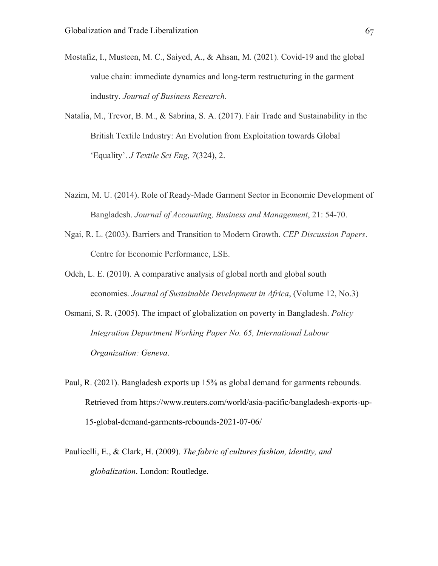- Mostafiz, I., Musteen, M. C., Saiyed, A., & Ahsan, M. (2021). Covid-19 and the global value chain: immediate dynamics and long-term restructuring in the garment industry. *Journal of Business Research*.
- Natalia, M., Trevor, B. M., & Sabrina, S. A. (2017). Fair Trade and Sustainability in the British Textile Industry: An Evolution from Exploitation towards Global 'Equality'. *J Textile Sci Eng*, *7*(324), 2.
- Nazim, M. U. (2014). Role of Ready-Made Garment Sector in Economic Development of Bangladesh. *Journal of Accounting, Business and Management*, 21: 54-70.
- Ngai, R. L. (2003). Barriers and Transition to Modern Growth. *CEP Discussion Papers*. Centre for Economic Performance, LSE.
- Odeh, L. E. (2010). A comparative analysis of global north and global south economies. *Journal of Sustainable Development in Africa*, (Volume 12, No.3)
- Osmani, S. R. (2005). The impact of globalization on poverty in Bangladesh. *Policy Integration Department Working Paper No. 65, International Labour Organization: Geneva*.
- Paul, R. (2021). Bangladesh exports up 15% as global demand for garments rebounds. Retrieved from https://www.reuters.com/world/asia-pacific/bangladesh-exports-up-15-global-demand-garments-rebounds-2021-07-06/
- Paulicelli, E., & Clark, H. (2009). *The fabric of cultures fashion, identity, and globalization*. London: Routledge.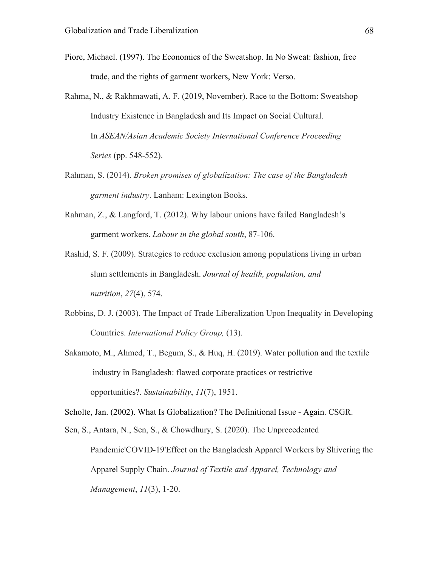- Piore, Michael. (1997). The Economics of the Sweatshop. In No Sweat: fashion, free trade, and the rights of garment workers, New York: Verso.
- Rahma, N., & Rakhmawati, A. F. (2019, November). Race to the Bottom: Sweatshop Industry Existence in Bangladesh and Its Impact on Social Cultural. In *ASEAN/Asian Academic Society International Conference Proceeding Series* (pp. 548-552).
- Rahman, S. (2014). *Broken promises of globalization: The case of the Bangladesh garment industry*. Lanham: Lexington Books.
- Rahman, Z., & Langford, T. (2012). Why labour unions have failed Bangladesh's garment workers. *Labour in the global south*, 87-106.
- Rashid, S. F. (2009). Strategies to reduce exclusion among populations living in urban slum settlements in Bangladesh. *Journal of health, population, and nutrition*, *27*(4), 574.
- Robbins, D. J. (2003). The Impact of Trade Liberalization Upon Inequality in Developing Countries. *International Policy Group,* (13).
- Sakamoto, M., Ahmed, T., Begum, S., & Huq, H. (2019). Water pollution and the textile industry in Bangladesh: flawed corporate practices or restrictive opportunities?. *Sustainability*, *11*(7), 1951.

Scholte, Jan. (2002). What Is Globalization? The Definitional Issue - Again. CSGR.

Sen, S., Antara, N., Sen, S., & Chowdhury, S. (2020). The Unprecedented Pandemic'COVID-19'Effect on the Bangladesh Apparel Workers by Shivering the Apparel Supply Chain. *Journal of Textile and Apparel, Technology and Management*, *11*(3), 1-20.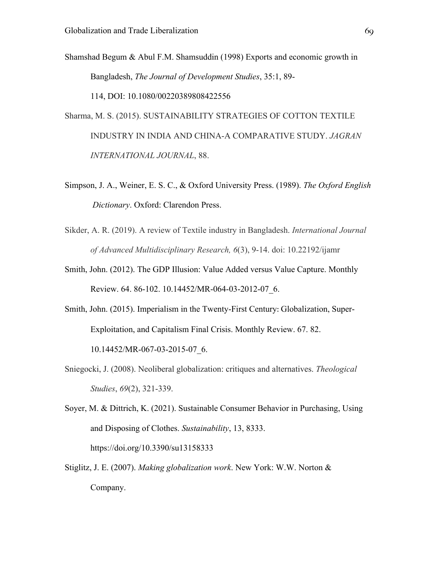Shamshad Begum & Abul F.M. Shamsuddin (1998) Exports and economic growth in Bangladesh, *The Journal of Development Studies*, 35:1, 89-

114, DOI: 10.1080/00220389808422556

Sharma, M. S. (2015). SUSTAINABILITY STRATEGIES OF COTTON TEXTILE INDUSTRY IN INDIA AND CHINA-A COMPARATIVE STUDY. *JAGRAN INTERNATIONAL JOURNAL*, 88.

Simpson, J. A., Weiner, E. S. C., & Oxford University Press. (1989). *The Oxford English Dictionary*. Oxford: Clarendon Press.

- Sikder, A. R. (2019). A review of Textile industry in Bangladesh. *International Journal of Advanced Multidisciplinary Research, 6*(3), 9-14. doi: 10.22192/ijamr
- Smith, John. (2012). The GDP Illusion: Value Added versus Value Capture. Monthly Review. 64. 86-102. 10.14452/MR-064-03-2012-07\_6.
- Smith, John. (2015). Imperialism in the Twenty-First Century: Globalization, Super-Exploitation, and Capitalism Final Crisis. Monthly Review. 67. 82.

10.14452/MR-067-03-2015-07\_6.

- Sniegocki, J. (2008). Neoliberal globalization: critiques and alternatives. *Theological Studies*, *69*(2), 321-339.
- Soyer, M. & Dittrich, K. (2021). Sustainable Consumer Behavior in Purchasing, Using and Disposing of Clothes. *Sustainability*, 13, 8333. https://doi.org/10.3390/su13158333
- Stiglitz, J. E. (2007). *Making globalization work*. New York: W.W. Norton & Company.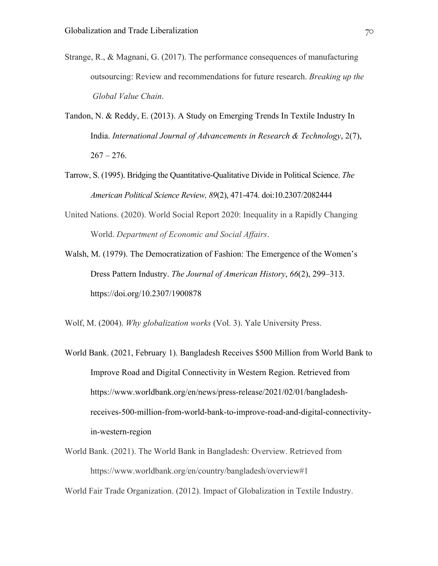- Strange, R., & Magnani, G. (2017). The performance consequences of manufacturing outsourcing: Review and recommendations for future research. *Breaking up the Global Value Chain*.
- Tandon, N. & Reddy, E. (2013). A Study on Emerging Trends In Textile Industry In India. *International Journal of Advancements in Research & Technology*, 2(7),  $267 - 276$ .
- Tarrow, S. (1995). Bridging the Quantitative-Qualitative Divide in Political Science. *The American Political Science Review, 89*(2), 471-474. doi:10.2307/2082444
- United Nations. (2020). World Social Report 2020: Inequality in a Rapidly Changing World. *Department of Economic and Social Affairs*.
- Walsh, M. (1979). The Democratization of Fashion: The Emergence of the Women's Dress Pattern Industry. *The Journal of American History*, *66*(2), 299–313. https://doi.org/10.2307/1900878

Wolf, M. (2004). *Why globalization works* (Vol. 3). Yale University Press.

- World Bank. (2021, February 1). Bangladesh Receives \$500 Million from World Bank to Improve Road and Digital Connectivity in Western Region. Retrieved from https://www.worldbank.org/en/news/press-release/2021/02/01/bangladeshreceives-500-million-from-world-bank-to-improve-road-and-digital-connectivityin-western-region
- World Bank. (2021). The World Bank in Bangladesh: Overview. Retrieved from https://www.worldbank.org/en/country/bangladesh/overview#1

World Fair Trade Organization. (2012). Impact of Globalization in Textile Industry.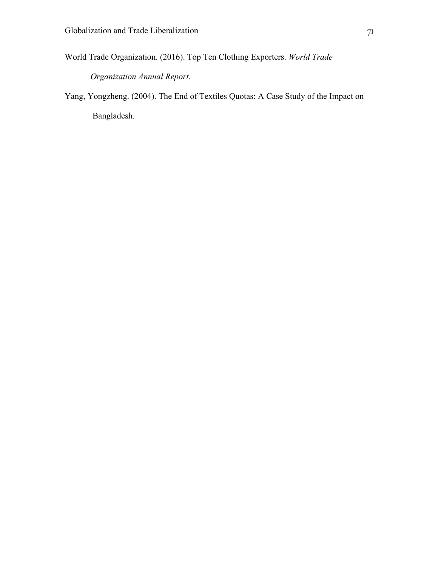World Trade Organization. (2016). Top Ten Clothing Exporters. *World Trade* 

*Organization Annual Report*.

Yang, Yongzheng. (2004). The End of Textiles Quotas: A Case Study of the Impact on Bangladesh.